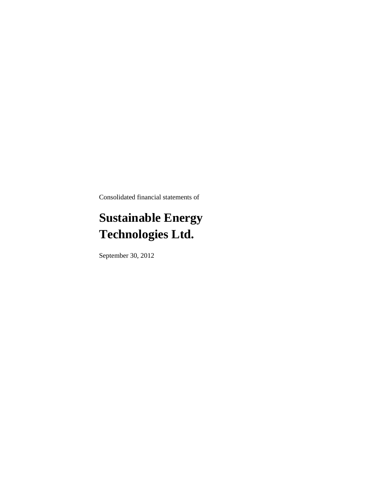Consolidated financial statements of

# **Sustainable Energy Technologies Ltd.**

September 30, 2012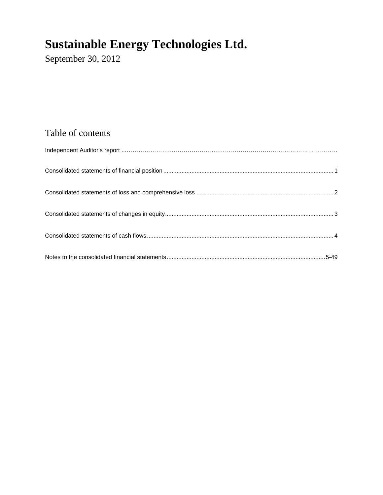September 30, 2012

### Table of contents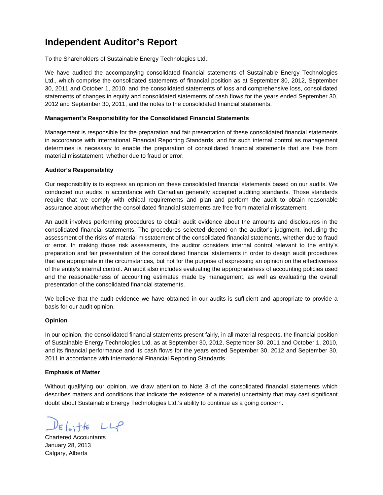### **Independent Auditor's Report**

To the Shareholders of Sustainable Energy Technologies Ltd.:

We have audited the accompanying consolidated financial statements of Sustainable Energy Technologies Ltd., which comprise the consolidated statements of financial position as at September 30, 2012, September 30, 2011 and October 1, 2010, and the consolidated statements of loss and comprehensive loss, consolidated statements of changes in equity and consolidated statements of cash flows for the years ended September 30, 2012 and September 30, 2011, and the notes to the consolidated financial statements.

#### **Management's Responsibility for the Consolidated Financial Statements**

Management is responsible for the preparation and fair presentation of these consolidated financial statements in accordance with International Financial Reporting Standards, and for such internal control as management determines is necessary to enable the preparation of consolidated financial statements that are free from material misstatement, whether due to fraud or error.

#### **Auditor's Responsibility**

Our responsibility is to express an opinion on these consolidated financial statements based on our audits. We conducted our audits in accordance with Canadian generally accepted auditing standards. Those standards require that we comply with ethical requirements and plan and perform the audit to obtain reasonable assurance about whether the consolidated financial statements are free from material misstatement.

An audit involves performing procedures to obtain audit evidence about the amounts and disclosures in the consolidated financial statements. The procedures selected depend on the auditor's judgment, including the assessment of the risks of material misstatement of the consolidated financial statements, whether due to fraud or error. In making those risk assessments, the auditor considers internal control relevant to the entity's preparation and fair presentation of the consolidated financial statements in order to design audit procedures that are appropriate in the circumstances, but not for the purpose of expressing an opinion on the effectiveness of the entity's internal control. An audit also includes evaluating the appropriateness of accounting policies used and the reasonableness of accounting estimates made by management, as well as evaluating the overall presentation of the consolidated financial statements.

We believe that the audit evidence we have obtained in our audits is sufficient and appropriate to provide a basis for our audit opinion.

#### **Opinion**

In our opinion, the consolidated financial statements present fairly, in all material respects, the financial position of Sustainable Energy Technologies Ltd. as at September 30, 2012, September 30, 2011 and October 1, 2010, and its financial performance and its cash flows for the years ended September 30, 2012 and September 30, 2011 in accordance with International Financial Reporting Standards.

#### **Emphasis of Matter**

Without qualifying our opinion, we draw attention to Note 3 of the consolidated financial statements which describes matters and conditions that indicate the existence of a material uncertainty that may cast significant doubt about Sustainable Energy Technologies Ltd.'s ability to continue as a going concern.

 $De(c, j \nmid k L L P)$ 

Chartered Accountants January 28, 2013 Calgary, Alberta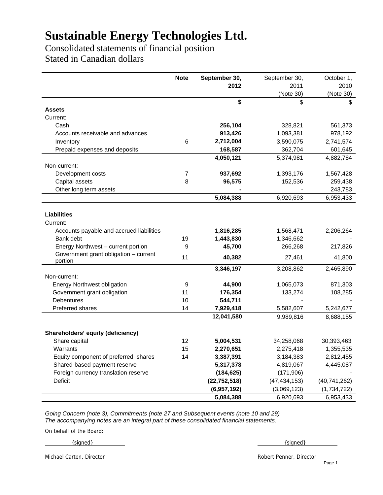Consolidated statements of financial position Stated in Canadian dollars

|                                          | <b>Note</b>    | September 30,  | September 30,  | October 1,     |
|------------------------------------------|----------------|----------------|----------------|----------------|
|                                          |                | 2012           | 2011           | 2010           |
|                                          |                |                | (Note 30)      | (Note 30)      |
|                                          |                | \$             | \$             | \$             |
| <b>Assets</b>                            |                |                |                |                |
| Current:                                 |                |                |                |                |
| Cash                                     |                | 256,104        | 328,821        | 561,373        |
| Accounts receivable and advances         |                | 913,426        | 1,093,381      | 978,192        |
| Inventory                                | 6              | 2,712,004      | 3,590,075      | 2,741,574      |
| Prepaid expenses and deposits            |                | 168,587        | 362,704        | 601,645        |
|                                          |                | 4,050,121      | 5,374,981      | 4,882,784      |
| Non-current:                             |                |                |                |                |
| Development costs                        | $\overline{7}$ | 937,692        | 1,393,176      | 1,567,428      |
| Capital assets                           | 8              | 96,575         | 152,536        | 259,438        |
| Other long term assets                   |                |                |                | 243,783        |
|                                          |                | 5,084,388      | 6,920,693      | 6,953,433      |
|                                          |                |                |                |                |
| <b>Liabilities</b>                       |                |                |                |                |
| Current:                                 |                |                |                |                |
| Accounts payable and accrued liabilities |                | 1,816,285      | 1,568,471      | 2,206,264      |
| Bank debt                                | 19             | 1,443,830      | 1,346,662      |                |
| Energy Northwest - current portion       | 9              | 45,700         | 266,268        | 217,826        |
| Government grant obligation - current    | 11             | 40,382         | 27,461         | 41,800         |
| portion                                  |                |                |                |                |
|                                          |                | 3,346,197      | 3,208,862      | 2,465,890      |
| Non-current:                             |                |                |                |                |
| <b>Energy Northwest obligation</b>       | 9              | 44,900         | 1,065,073      | 871,303        |
| Government grant obligation              | 11             | 176,354        | 133,274        | 108,285        |
| <b>Debentures</b>                        | 10             | 544,711        |                |                |
| Preferred shares                         | 14             | 7,929,418      | 5,582,607      | 5,242,677      |
|                                          |                | 12,041,580     | 9,989,816      | 8,688,155      |
|                                          |                |                |                |                |
| Shareholders' equity (deficiency)        |                |                |                |                |
| Share capital                            | 12             | 5,004,531      | 34,258,068     | 30,393,463     |
| Warrants                                 | 15             | 2,270,651      | 2,275,418      | 1,355,535      |
| Equity component of preferred shares     | 14             | 3,387,391      | 3,184,383      | 2,812,455      |
| Shared-based payment reserve             |                | 5,317,378      | 4,819,067      | 4,445,087      |
| Foreign currency translation reserve     |                | (184, 625)     | (171, 906)     |                |
| Deficit                                  |                | (22, 752, 518) | (47, 434, 153) | (40, 741, 262) |
|                                          |                | (6,957,192)    | (3,069,123)    | (1,734,722)    |
|                                          |                | 5,084,388      | 6,920,693      | 6,953,433      |

*Going Concern (note 3), Commitments (note 27 and Subsequent events (note 10 and 29) The accompanying notes are an integral part of these consolidated financial statements.* 

On behalf of the Board:

 $\{signed\}$   $\{\{square\}$ 

Michael Carten, Director Robert Penner, Director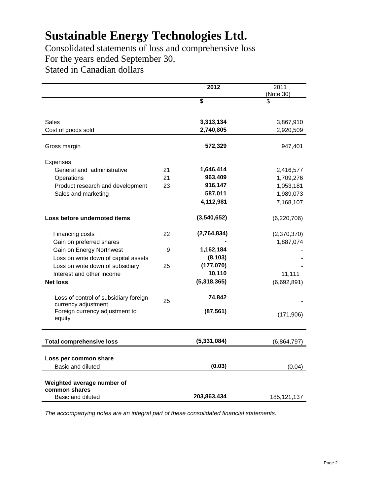Consolidated statements of loss and comprehensive loss For the years ended September 30, Stated in Canadian dollars

|                                                              |    | 2012          | 2011<br>(Note 30) |
|--------------------------------------------------------------|----|---------------|-------------------|
|                                                              |    | \$            | \$                |
| Sales                                                        |    | 3,313,134     | 3,867,910         |
| Cost of goods sold                                           |    | 2,740,805     | 2,920,509         |
| Gross margin                                                 |    | 572,329       | 947,401           |
| Expenses                                                     |    |               |                   |
| General and administrative                                   | 21 | 1,646,414     | 2,416,577         |
| Operations                                                   | 21 | 963,409       | 1,709,276         |
| Product research and development                             | 23 | 916,147       | 1,053,181         |
| Sales and marketing                                          |    | 587,011       | 1,989,073         |
|                                                              |    | 4,112,981     | 7,168,107         |
| Loss before undernoted items                                 |    | (3,540,652)   | (6, 220, 706)     |
| Financing costs                                              | 22 | (2,764,834)   | (2,370,370)       |
| Gain on preferred shares                                     |    |               | 1,887,074         |
| Gain on Energy Northwest                                     | 9  | 1,162,184     |                   |
| Loss on write down of capital assets                         |    | (8, 103)      |                   |
| Loss on write down of subsidiary                             | 25 | (177,070)     |                   |
| Interest and other income                                    |    | 10,110        | 11,111            |
| <b>Net loss</b>                                              |    | (5,318,365)   | (6,692,891)       |
| Loss of control of subsidiary foreign<br>currency adjustment | 25 | 74,842        |                   |
| Foreign currency adjustment to<br>equity                     |    | (87, 561)     | (171, 906)        |
| <b>Total comprehensive loss</b>                              |    | (5, 331, 084) | (6,864,797)       |
| Loss per common share                                        |    |               |                   |
| Basic and diluted                                            |    | (0.03)        | (0.04)            |
|                                                              |    |               |                   |
| Weighted average number of<br>common shares                  |    |               |                   |
| Basic and diluted                                            |    | 203,863,434   | 185, 121, 137     |

*The accompanying notes are an integral part of these consolidated financial statements.*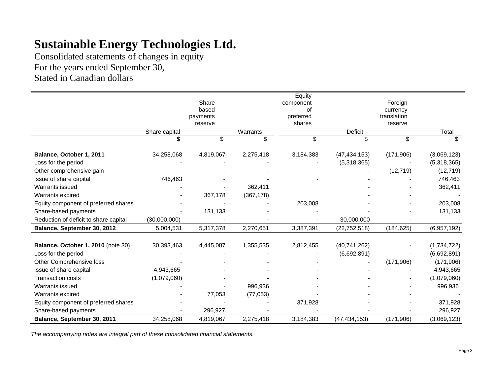Consolidated statements of changes in equity For the years ended September 30, Stated in Canadian dollars

|                                       |               |           |            | Equity    |                |             |             |
|---------------------------------------|---------------|-----------|------------|-----------|----------------|-------------|-------------|
|                                       |               | Share     |            | component |                | Foreign     |             |
|                                       |               | based     |            | οf        |                | currency    |             |
|                                       |               | payments  |            | preferred |                | translation |             |
|                                       |               | reserve   |            | shares    |                | reserve     |             |
|                                       | Share capital |           | Warrants   |           | Deficit        |             | Total       |
|                                       | \$            | \$        | \$         | \$        | \$             | \$          | \$          |
| Balance, October 1, 2011              | 34,258,068    | 4,819,067 | 2,275,418  | 3,184,383 | (47, 434, 153) | (171,906)   | (3,069,123) |
| Loss for the period                   |               |           |            |           | (5,318,365)    |             | (5,318,365) |
| Other comprehensive gain              |               |           |            |           |                | (12, 719)   | (12, 719)   |
| Issue of share capital                | 746,463       |           |            |           |                |             | 746,463     |
| Warrants issued                       |               |           | 362,411    |           |                |             | 362,411     |
| Warrants expired                      |               | 367,178   | (367, 178) |           |                |             |             |
| Equity component of preferred shares  |               |           |            | 203,008   |                |             | 203,008     |
| Share-based payments                  |               | 131,133   |            |           |                |             | 131,133     |
| Reduction of deficit to share capital | (30,000,000)  |           |            |           | 30,000,000     |             |             |
| Balance, September 30, 2012           | 5,004,531     | 5,317,378 | 2,270,651  | 3,387,391 | (22, 752, 518) | (184, 625)  | (6,957,192) |
|                                       |               |           |            |           |                |             |             |
| Balance, October 1, 2010 (note 30)    | 30,393,463    | 4,445,087 | 1,355,535  | 2,812,455 | (40, 741, 262) |             | (1,734,722) |
| Loss for the period                   |               |           |            |           | (6,692,891)    |             | (6,692,891) |
| Other Comprehensive loss              |               |           |            |           |                | (171,906)   | (171, 906)  |
| Issue of share capital                | 4,943,665     |           |            |           |                |             | 4,943,665   |
| <b>Transaction costs</b>              | (1,079,060)   |           |            |           |                |             | (1,079,060) |
| Warrants issued                       |               |           | 996,936    |           |                |             | 996,936     |
| Warrants expired                      |               | 77,053    | (77, 053)  |           |                |             |             |
| Equity component of preferred shares  |               |           |            | 371,928   |                |             | 371,928     |
| Share-based payments                  |               | 296,927   |            |           |                |             | 296,927     |
| Balance, September 30, 2011           | 34,258,068    | 4,819,067 | 2,275,418  | 3,184,383 | (47, 434, 153) | (171, 906)  | (3,069,123) |

*The accompanying notes are integral part of these consolidated financial statements.*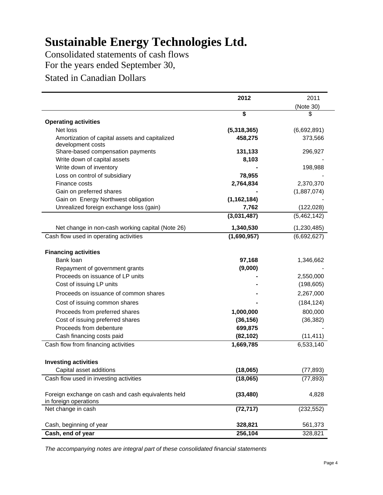Consolidated statements of cash flows For the years ended September 30,

Stated in Canadian Dollars

|                                                                             | 2012          | 2011          |
|-----------------------------------------------------------------------------|---------------|---------------|
|                                                                             |               | (Note 30)     |
|                                                                             | \$            | \$            |
| <b>Operating activities</b>                                                 |               |               |
| Net loss                                                                    | (5,318,365)   | (6,692,891)   |
| Amortization of capital assets and capitalized<br>development costs         | 458,275       | 373,566       |
| Share-based compensation payments                                           | 131,133       | 296,927       |
| Write down of capital assets                                                | 8,103         |               |
| Write down of inventory                                                     |               | 198,988       |
| Loss on control of subsidiary                                               | 78,955        |               |
| Finance costs                                                               | 2,764,834     | 2,370,370     |
| Gain on preferred shares                                                    |               | (1,887,074)   |
| Gain on Energy Northwest obligation                                         | (1, 162, 184) |               |
| Unrealized foreign exchange loss (gain)                                     | 7,762         | (122, 028)    |
|                                                                             | (3,031,487)   | (5,462,142)   |
| Net change in non-cash working capital (Note 26)                            | 1,340,530     | (1, 230, 485) |
| Cash flow used in operating activities                                      | (1,690,957)   | (6,692,627)   |
| <b>Financing activities</b>                                                 |               |               |
| Bank loan                                                                   | 97,168        | 1,346,662     |
| Repayment of government grants                                              | (9,000)       |               |
| Proceeds on issuance of LP units                                            |               | 2,550,000     |
| Cost of issuing LP units                                                    |               | (198, 605)    |
| Proceeds on issuance of common shares                                       |               | 2,267,000     |
| Cost of issuing common shares                                               |               | (184, 124)    |
| Proceeds from preferred shares                                              | 1,000,000     | 800,000       |
| Cost of issuing preferred shares                                            | (36, 156)     | (36, 382)     |
| Proceeds from debenture                                                     | 699,875       |               |
| Cash financing costs paid                                                   | (82, 102)     | (11, 411)     |
| Cash flow from financing activities                                         | 1,669,785     | 6,533,140     |
| <b>Investing activities</b>                                                 |               |               |
| Capital asset additions                                                     | (18,065)      | (77, 893)     |
| Cash flow used in investing activities                                      | (18,065)      | (77, 893)     |
| Foreign exchange on cash and cash equivalents held<br>in foreign operations | (33, 480)     | 4,828         |
| Net change in cash                                                          | (72, 717)     | (232, 552)    |
| Cash, beginning of year                                                     | 328,821       | 561,373       |
| Cash, end of year                                                           | 256,104       | 328,821       |

*The accompanying notes are integral part of these consolidated financial statements*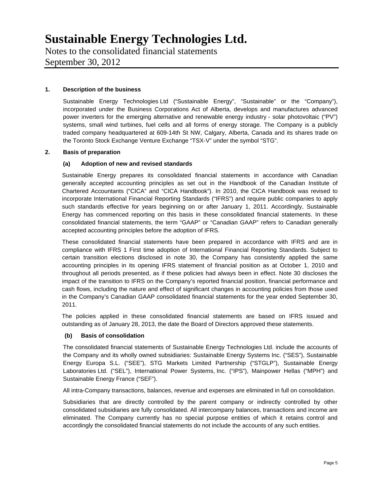Notes to the consolidated financial statements September 30, 2012

#### **1. Description of the business**

Sustainable Energy Technologies Ltd ("Sustainable Energy", "Sustainable" or the "Company"), incorporated under the Business Corporations Act of Alberta, develops and manufactures advanced power inverters for the emerging alternative and renewable energy industry - solar photovoltaic ("PV") systems, small wind turbines, fuel cells and all forms of energy storage. The Company is a publicly traded company headquartered at 609-14th St NW, Calgary, Alberta, Canada and its shares trade on the Toronto Stock Exchange Venture Exchange "TSX-V" under the symbol "STG".

#### **2. Basis of preparation**

#### **(a) Adoption of new and revised standards**

Sustainable Energy prepares its consolidated financial statements in accordance with Canadian generally accepted accounting principles as set out in the Handbook of the Canadian Institute of Chartered Accountants ("CICA" and "CICA Handbook"). In 2010, the CICA Handbook was revised to incorporate International Financial Reporting Standards ("IFRS") and require public companies to apply such standards effective for years beginning on or after January 1, 2011. Accordingly, Sustainable Energy has commenced reporting on this basis in these consolidated financial statements. In these consolidated financial statements, the term "GAAP" or "Canadian GAAP" refers to Canadian generally accepted accounting principles before the adoption of IFRS.

These consolidated financial statements have been prepared in accordance with IFRS and are in compliance with IFRS 1 First time adoption of International Financial Reporting Standards. Subject to certain transition elections disclosed in note 30, the Company has consistently applied the same accounting principles in its opening IFRS statement of financial position as at October 1, 2010 and throughout all periods presented, as if these policies had always been in effect. Note 30 discloses the impact of the transition to IFRS on the Company's reported financial position, financial performance and cash flows, including the nature and effect of significant changes in accounting policies from those used in the Company's Canadian GAAP consolidated financial statements for the year ended September 30, 2011.

The policies applied in these consolidated financial statements are based on IFRS issued and outstanding as of January 28, 2013, the date the Board of Directors approved these statements.

#### **(b) Basis of consolidation**

The consolidated financial statements of Sustainable Energy Technologies Ltd. include the accounts of the Company and its wholly owned subsidiaries: Sustainable Energy Systems Inc. ("SES"), Sustainable Energy Europa S.L. ("SEE"), STG Markets Limited Partnership ("STGLP"), Sustainable Energy Laboratories Ltd. ("SEL"), International Power Systems, Inc. ("IPS"), Mainpower Hellas ("MPH") and Sustainable Energy France ("SEF").

All intra-Company transactions, balances, revenue and expenses are eliminated in full on consolidation.

Subsidiaries that are directly controlled by the parent company or indirectly controlled by other consolidated subsidiaries are fully consolidated. All intercompany balances, transactions and income are eliminated. The Company currently has no special purpose entities of which it retains control and accordingly the consolidated financial statements do not include the accounts of any such entities.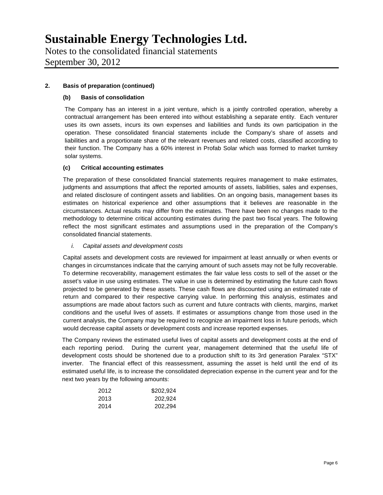Notes to the consolidated financial statements September 30, 2012

#### **2. Basis of preparation (continued)**

#### **(b) Basis of consolidation**

The Company has an interest in a joint venture, which is a jointly controlled operation, whereby a contractual arrangement has been entered into without establishing a separate entity. Each venturer uses its own assets, incurs its own expenses and liabilities and funds its own participation in the operation. These consolidated financial statements include the Company's share of assets and liabilities and a proportionate share of the relevant revenues and related costs, classified according to their function. The Company has a 60% interest in Profab Solar which was formed to market turnkey solar systems.

#### **(c) Critical accounting estimates**

The preparation of these consolidated financial statements requires management to make estimates, judgments and assumptions that affect the reported amounts of assets, liabilities, sales and expenses, and related disclosure of contingent assets and liabilities. On an ongoing basis, management bases its estimates on historical experience and other assumptions that it believes are reasonable in the circumstances. Actual results may differ from the estimates. There have been no changes made to the methodology to determine critical accounting estimates during the past two fiscal years. The following reflect the most significant estimates and assumptions used in the preparation of the Company's consolidated financial statements.

#### *i. Capital assets and development costs*

Capital assets and development costs are reviewed for impairment at least annually or when events or changes in circumstances indicate that the carrying amount of such assets may not be fully recoverable. To determine recoverability, management estimates the fair value less costs to sell of the asset or the asset's value in use using estimates. The value in use is determined by estimating the future cash flows projected to be generated by these assets. These cash flows are discounted using an estimated rate of return and compared to their respective carrying value. In performing this analysis, estimates and assumptions are made about factors such as current and future contracts with clients, margins, market conditions and the useful lives of assets. If estimates or assumptions change from those used in the current analysis, the Company may be required to recognize an impairment loss in future periods, which would decrease capital assets or development costs and increase reported expenses.

The Company reviews the estimated useful lives of capital assets and development costs at the end of each reporting period. During the current year, management determined that the useful life of development costs should be shortened due to a production shift to its 3rd generation Paralex "STX" inverter. The financial effect of this reassessment, assuming the asset is held until the end of its estimated useful life, is to increase the consolidated depreciation expense in the current year and for the next two years by the following amounts:

| 2012 | \$202,924 |
|------|-----------|
| 2013 | 202.924   |
| 2014 | 202,294   |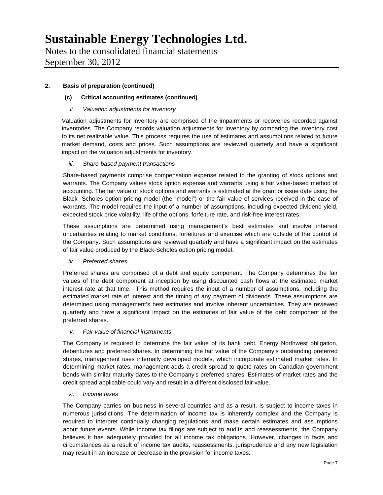Notes to the consolidated financial statements September 30, 2012

#### **2. Basis of preparation (continued)**

#### **(c) Critical accounting estimates (continued)**

#### *ii. Valuation adjustments for inventory*

Valuation adjustments for inventory are comprised of the impairments or recoveries recorded against inventories. The Company records valuation adjustments for inventory by comparing the inventory cost to its net realizable value. This process requires the use of estimates and assumptions related to future market demand, costs and prices. Such assumptions are reviewed quarterly and have a significant impact on the valuation adjustments for inventory.

#### *iii. Share-based payment transactions*

Share-based payments comprise compensation expense related to the granting of stock options and warrants. The Company values stock option expense and warrants using a fair value-based method of accounting. The fair value of stock options and warrants is estimated at the grant or issue date using the Black- Scholes option pricing model (the "model") or the fair value of services received in the case of warrants. The model requires the input of a number of assumptions, including expected dividend yield, expected stock price volatility, life of the options, forfeiture rate, and risk-free interest rates.

These assumptions are determined using management's best estimates and involve inherent uncertainties relating to market conditions, forfeitures and exercise which are outside of the control of the Company. Such assumptions are reviewed quarterly and have a significant impact on the estimates of fair value produced by the Black-Scholes option pricing model.

#### *iv. Preferred shares*

Preferred shares are comprised of a debt and equity component. The Company determines the fair values of the debt component at inception by using discounted cash flows at the estimated market interest rate at that time. This method requires the input of a number of assumptions, including the estimated market rate of interest and the timing of any payment of dividends. These assumptions are determined using management's best estimates and involve inherent uncertainties. They are reviewed quarterly and have a significant impact on the estimates of fair value of the debt component of the preferred shares.

#### *v. Fair value of financial instruments*

The Company is required to determine the fair value of its bank debt, Energy Northwest obligation, debentures and preferred shares. In determining the fair value of the Company's outstanding preferred shares, management uses internally developed models, which incorporate estimated market rates. In determining market rates, management adds a credit spread to quote rates on Canadian government bonds with similar maturity dates to the Company's preferred shares. Estimates of market rates and the credit spread applicable could vary and result in a different disclosed fair value.

#### *vi. Income taxes*

The Company carries on business in several countries and as a result, is subject to income taxes in numerous jurisdictions. The determination of income tax is inherently complex and the Company is required to interpret continually changing regulations and make certain estimates and assumptions about future events. While income tax filings are subject to audits and reassessments, the Company believes it has adequately provided for all income tax obligations. However, changes in facts and circumstances as a result of income tax audits, reassessments, jurisprudence and any new legislation may result in an increase or decrease in the provision for income taxes.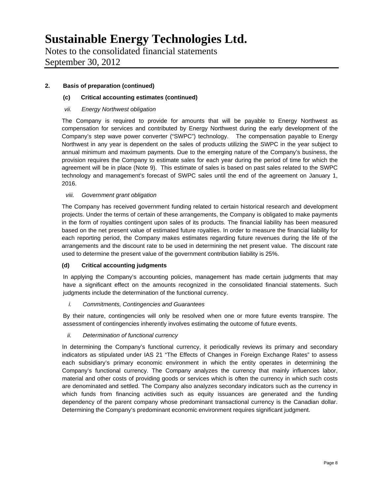Notes to the consolidated financial statements September 30, 2012

#### **2. Basis of preparation (continued)**

#### **(c) Critical accounting estimates (continued)**

#### *vii. Energy Northwest obligation*

 The Company is required to provide for amounts that will be payable to Energy Northwest as compensation for services and contributed by Energy Northwest during the early development of the Company's step wave power converter ("SWPC") technology. The compensation payable to Energy Northwest in any year is dependent on the sales of products utilizing the SWPC in the year subject to annual minimum and maximum payments. Due to the emerging nature of the Company's business, the provision requires the Company to estimate sales for each year during the period of time for which the agreement will be in place (Note 9). This estimate of sales is based on past sales related to the SWPC technology and management's forecast of SWPC sales until the end of the agreement on January 1, 2016.

#### *viii. Government grant obligation*

The Company has received government funding related to certain historical research and development projects. Under the terms of certain of these arrangements, the Company is obligated to make payments in the form of royalties contingent upon sales of its products. The financial liability has been measured based on the net present value of estimated future royalties. In order to measure the financial liability for each reporting period, the Company makes estimates regarding future revenues during the life of the arrangements and the discount rate to be used in determining the net present value. The discount rate used to determine the present value of the government contribution liability is 25%.

#### **(d) Critical accounting judgments**

In applying the Company's accounting policies, management has made certain judgments that may have a significant effect on the amounts recognized in the consolidated financial statements. Such judgments include the determination of the functional currency.

#### *i. Commitments, Contingencies and Guarantees*

By their nature, contingencies will only be resolved when one or more future events transpire. The assessment of contingencies inherently involves estimating the outcome of future events.

#### *ii. Determination of functional currency*

In determining the Company's functional currency, it periodically reviews its primary and secondary indicators as stipulated under IAS 21 "The Effects of Changes in Foreign Exchange Rates" to assess each subsidiary's primary economic environment in which the entity operates in determining the Company's functional currency. The Company analyzes the currency that mainly influences labor, material and other costs of providing goods or services which is often the currency in which such costs are denominated and settled. The Company also analyzes secondary indicators such as the currency in which funds from financing activities such as equity issuances are generated and the funding dependency of the parent company whose predominant transactional currency is the Canadian dollar. Determining the Company's predominant economic environment requires significant judgment.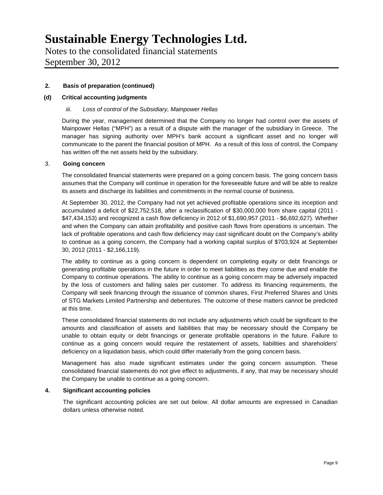Notes to the consolidated financial statements September 30, 2012

#### **2. Basis of preparation (continued)**

#### **(d) Critical accounting judgments**

#### *iii. Loss of control of the Subsidiary, Mainpower Hellas*

During the year, management determined that the Company no longer had control over the assets of Mainpower Hellas ("MPH") as a result of a dispute with the manager of the subsidiary in Greece. The manager has signing authority over MPH's bank account a significant asset and no longer will communicate to the parent the financial position of MPH. As a result of this loss of control, the Company has written off the net assets held by the subsidiary.

#### 3. **Going concern**

The consolidated financial statements were prepared on a going concern basis. The going concern basis assumes that the Company will continue in operation for the foreseeable future and will be able to realize its assets and discharge its liabilities and commitments in the normal course of business.

At September 30, 2012, the Company had not yet achieved profitable operations since its inception and accumulated a deficit of \$22,752,518, after a reclassification of \$30,000,000 from share capital (2011 - \$47,434,153) and recognized a cash flow deficiency in 2012 of \$1,690,957 (2011 - \$6,692,627). Whether and when the Company can attain profitability and positive cash flows from operations is uncertain. The lack of profitable operations and cash flow deficiency may cast significant doubt on the Company's ability to continue as a going concern, the Company had a working capital surplus of \$703,924 at September 30, 2012 (2011 - \$2,166,119).

The ability to continue as a going concern is dependent on completing equity or debt financings or generating profitable operations in the future in order to meet liabilities as they come due and enable the Company to continue operations. The ability to continue as a going concern may be adversely impacted by the loss of customers and falling sales per customer. To address its financing requirements, the Company will seek financing through the issuance of common shares, First Preferred Shares and Units of STG Markets Limited Partnership and debentures. The outcome of these matters cannot be predicted at this time.

These consolidated financial statements do not include any adjustments which could be significant to the amounts and classification of assets and liabilities that may be necessary should the Company be unable to obtain equity or debt financings or generate profitable operations in the future. Failure to continue as a going concern would require the restatement of assets, liabilities and shareholders' deficiency on a liquidation basis, which could differ materially from the going concern basis.

Management has also made significant estimates under the going concern assumption. These consolidated financial statements do not give effect to adjustments, if any, that may be necessary should the Company be unable to continue as a going concern.

#### **4. Significant accounting policies**

The significant accounting policies are set out below. All dollar amounts are expressed in Canadian dollars unless otherwise noted.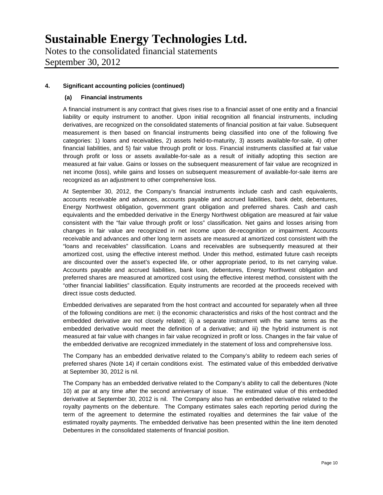Notes to the consolidated financial statements September 30, 2012

#### **4. Significant accounting policies (continued)**

#### **(a) Financial instruments**

A financial instrument is any contract that gives rises rise to a financial asset of one entity and a financial liability or equity instrument to another. Upon initial recognition all financial instruments, including derivatives, are recognized on the consolidated statements of financial position at fair value. Subsequent measurement is then based on financial instruments being classified into one of the following five categories: 1) loans and receivables, 2) assets held-to-maturity, 3) assets available-for-sale, 4) other financial liabilities, and 5) fair value through profit or loss. Financial instruments classified at fair value through profit or loss or assets available-for-sale as a result of initially adopting this section are measured at fair value. Gains or losses on the subsequent measurement of fair value are recognized in net income (loss), while gains and losses on subsequent measurement of available-for-sale items are recognized as an adjustment to other comprehensive loss.

At September 30, 2012, the Company's financial instruments include cash and cash equivalents, accounts receivable and advances, accounts payable and accrued liabilities, bank debt, debentures, Energy Northwest obligation, government grant obligation and preferred shares. Cash and cash equivalents and the embedded derivative in the Energy Northwest obligation are measured at fair value consistent with the "fair value through profit or loss" classification. Net gains and losses arising from changes in fair value are recognized in net income upon de-recognition or impairment. Accounts receivable and advances and other long term assets are measured at amortized cost consistent with the "loans and receivables" classification. Loans and receivables are subsequently measured at their amortized cost, using the effective interest method. Under this method, estimated future cash receipts are discounted over the asset's expected life, or other appropriate period, to its net carrying value. Accounts payable and accrued liabilities, bank loan, debentures, Energy Northwest obligation and preferred shares are measured at amortized cost using the effective interest method, consistent with the "other financial liabilities" classification. Equity instruments are recorded at the proceeds received with direct issue costs deducted.

Embedded derivatives are separated from the host contract and accounted for separately when all three of the following conditions are met: i) the economic characteristics and risks of the host contract and the embedded derivative are not closely related; ii) a separate instrument with the same terms as the embedded derivative would meet the definition of a derivative; and iii) the hybrid instrument is not measured at fair value with changes in fair value recognized in profit or loss. Changes in the fair value of the embedded derivative are recognized immediately in the statement of loss and comprehensive loss.

The Company has an embedded derivative related to the Company's ability to redeem each series of preferred shares (Note 14) if certain conditions exist. The estimated value of this embedded derivative at September 30, 2012 is nil.

The Company has an embedded derivative related to the Company's ability to call the debentures (Note 10) at par at any time after the second anniversary of issue. The estimated value of this embedded derivative at September 30, 2012 is nil. The Company also has an embedded derivative related to the royalty payments on the debenture. The Company estimates sales each reporting period during the term of the agreement to determine the estimated royalties and determines the fair value of the estimated royalty payments. The embedded derivative has been presented within the line item denoted Debentures in the consolidated statements of financial position.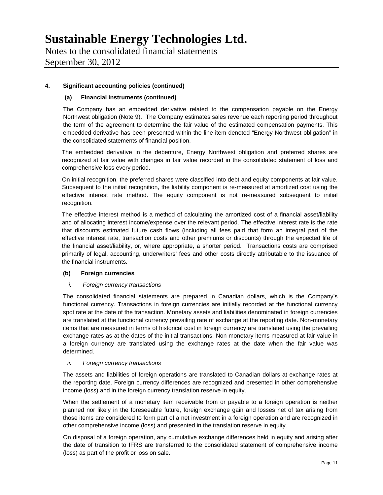Notes to the consolidated financial statements September 30, 2012

#### **4. Significant accounting policies (continued)**

#### **(a) Financial instruments (continued)**

The Company has an embedded derivative related to the compensation payable on the Energy Northwest obligation (Note 9). The Company estimates sales revenue each reporting period throughout the term of the agreement to determine the fair value of the estimated compensation payments. This embedded derivative has been presented within the line item denoted "Energy Northwest obligation" in the consolidated statements of financial position.

The embedded derivative in the debenture, Energy Northwest obligation and preferred shares are recognized at fair value with changes in fair value recorded in the consolidated statement of loss and comprehensive loss every period.

On initial recognition, the preferred shares were classified into debt and equity components at fair value. Subsequent to the initial recognition, the liability component is re-measured at amortized cost using the effective interest rate method. The equity component is not re-measured subsequent to initial recognition.

The effective interest method is a method of calculating the amortized cost of a financial asset/liability and of allocating interest income/expense over the relevant period. The effective interest rate is the rate that discounts estimated future cash flows (including all fees paid that form an integral part of the effective interest rate, transaction costs and other premiums or discounts) through the expected life of the financial asset/liability, or, where appropriate, a shorter period. Transactions costs are comprised primarily of legal, accounting, underwriters' fees and other costs directly attributable to the issuance of the financial instruments*.* 

#### **(b) Foreign currencies**

#### *i. Foreign currency transactions*

The consolidated financial statements are prepared in Canadian dollars, which is the Company's functional currency. Transactions in foreign currencies are initially recorded at the functional currency spot rate at the date of the transaction. Monetary assets and liabilities denominated in foreign currencies are translated at the functional currency prevailing rate of exchange at the reporting date. Non-monetary items that are measured in terms of historical cost in foreign currency are translated using the prevailing exchange rates as at the dates of the initial transactions. Non monetary items measured at fair value in a foreign currency are translated using the exchange rates at the date when the fair value was determined.

#### *ii. Foreign currency transactions*

The assets and liabilities of foreign operations are translated to Canadian dollars at exchange rates at the reporting date. Foreign currency differences are recognized and presented in other comprehensive income (loss) and in the foreign currency translation reserve in equity.

When the settlement of a monetary item receivable from or payable to a foreign operation is neither planned nor likely in the foreseeable future, foreign exchange gain and losses net of tax arising from those items are considered to form part of a net investment in a foreign operation and are recognized in other comprehensive income (loss) and presented in the translation reserve in equity.

On disposal of a foreign operation, any cumulative exchange differences held in equity and arising after the date of transition to IFRS are transferred to the consolidated statement of comprehensive income (loss) as part of the profit or loss on sale.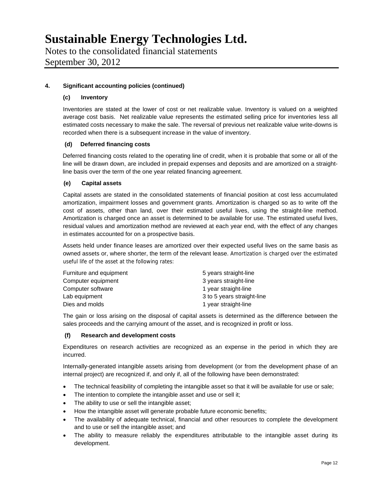Notes to the consolidated financial statements September 30, 2012

#### **4. Significant accounting policies (continued)**

#### **(c) Inventory**

Inventories are stated at the lower of cost or net realizable value. Inventory is valued on a weighted average cost basis. Net realizable value represents the estimated selling price for inventories less all estimated costs necessary to make the sale. The reversal of previous net realizable value write-downs is recorded when there is a subsequent increase in the value of inventory.

#### **(d) Deferred financing costs**

Deferred financing costs related to the operating line of credit, when it is probable that some or all of the line will be drawn down, are included in prepaid expenses and deposits and are amortized on a straightline basis over the term of the one year related financing agreement.

#### **(e) Capital assets**

Capital assets are stated in the consolidated statements of financial position at cost less accumulated amortization, impairment losses and government grants. Amortization is charged so as to write off the cost of assets, other than land, over their estimated useful lives, using the straight-line method. Amortization is charged once an asset is determined to be available for use. The estimated useful lives, residual values and amortization method are reviewed at each year end, with the effect of any changes in estimates accounted for on a prospective basis.

Assets held under finance leases are amortized over their expected useful lives on the same basis as owned assets or, where shorter, the term of the relevant lease. Amortization is charged over the estimated useful life of the asset at the following rates:

| Furniture and equipment | 5 years straight-line      |
|-------------------------|----------------------------|
| Computer equipment      | 3 years straight-line      |
| Computer software       | 1 year straight-line       |
| Lab equipment           | 3 to 5 years straight-line |
| Dies and molds          | 1 year straight-line       |

The gain or loss arising on the disposal of capital assets is determined as the difference between the sales proceeds and the carrying amount of the asset, and is recognized in profit or loss.

#### **(f) Research and development costs**

Expenditures on research activities are recognized as an expense in the period in which they are incurred.

Internally-generated intangible assets arising from development (or from the development phase of an internal project) are recognized if, and only if, all of the following have been demonstrated:

- The technical feasibility of completing the intangible asset so that it will be available for use or sale;
- The intention to complete the intangible asset and use or sell it;
- The ability to use or sell the intangible asset;
- How the intangible asset will generate probable future economic benefits;
- The availability of adequate technical, financial and other resources to complete the development and to use or sell the intangible asset; and
- The ability to measure reliably the expenditures attributable to the intangible asset during its development.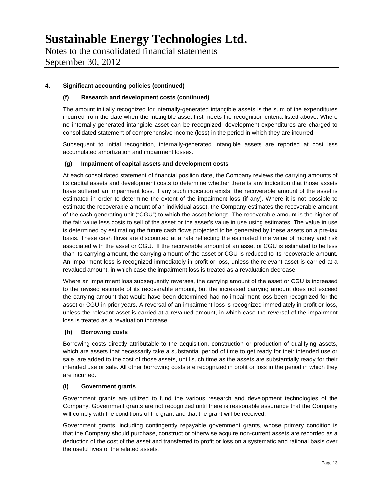Notes to the consolidated financial statements September 30, 2012

#### **4. Significant accounting policies (continued)**

#### **(f) Research and development costs (continued)**

The amount initially recognized for internally-generated intangible assets is the sum of the expenditures incurred from the date when the intangible asset first meets the recognition criteria listed above. Where no internally-generated intangible asset can be recognized, development expenditures are charged to consolidated statement of comprehensive income (loss) in the period in which they are incurred.

Subsequent to initial recognition, internally-generated intangible assets are reported at cost less accumulated amortization and impairment losses.

#### **(g) Impairment of capital assets and development costs**

At each consolidated statement of financial position date, the Company reviews the carrying amounts of its capital assets and development costs to determine whether there is any indication that those assets have suffered an impairment loss. If any such indication exists, the recoverable amount of the asset is estimated in order to determine the extent of the impairment loss (if any). Where it is not possible to estimate the recoverable amount of an individual asset, the Company estimates the recoverable amount of the cash-generating unit ("CGU") to which the asset belongs. The recoverable amount is the higher of the fair value less costs to sell of the asset or the asset's value in use using estimates. The value in use is determined by estimating the future cash flows projected to be generated by these assets on a pre-tax basis. These cash flows are discounted at a rate reflecting the estimated time value of money and risk associated with the asset or CGU. If the recoverable amount of an asset or CGU is estimated to be less than its carrying amount, the carrying amount of the asset or CGU is reduced to its recoverable amount. An impairment loss is recognized immediately in profit or loss, unless the relevant asset is carried at a revalued amount, in which case the impairment loss is treated as a revaluation decrease.

Where an impairment loss subsequently reverses, the carrying amount of the asset or CGU is increased to the revised estimate of its recoverable amount, but the increased carrying amount does not exceed the carrying amount that would have been determined had no impairment loss been recognized for the asset or CGU in prior years. A reversal of an impairment loss is recognized immediately in profit or loss, unless the relevant asset is carried at a revalued amount, in which case the reversal of the impairment loss is treated as a revaluation increase.

#### **(h) Borrowing costs**

Borrowing costs directly attributable to the acquisition, construction or production of qualifying assets, which are assets that necessarily take a substantial period of time to get ready for their intended use or sale, are added to the cost of those assets, until such time as the assets are substantially ready for their intended use or sale. All other borrowing costs are recognized in profit or loss in the period in which they are incurred.

#### **(i) Government grants**

Government grants are utilized to fund the various research and development technologies of the Company. Government grants are not recognized until there is reasonable assurance that the Company will comply with the conditions of the grant and that the grant will be received.

Government grants, including contingently repayable government grants, whose primary condition is that the Company should purchase, construct or otherwise acquire non-current assets are recorded as a deduction of the cost of the asset and transferred to profit or loss on a systematic and rational basis over the useful lives of the related assets.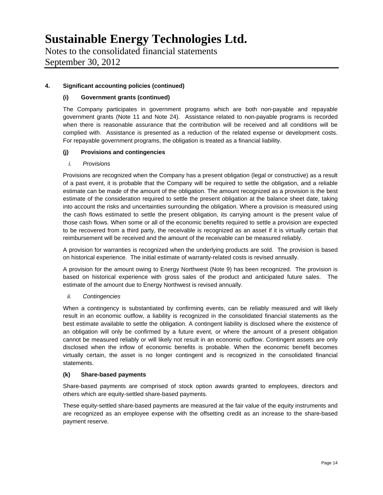Notes to the consolidated financial statements September 30, 2012

#### **4. Significant accounting policies (continued)**

#### **(i) Government grants (continued)**

The Company participates in government programs which are both non-payable and repayable government grants (Note 11 and Note 24). Assistance related to non-payable programs is recorded when there is reasonable assurance that the contribution will be received and all conditions will be complied with. Assistance is presented as a reduction of the related expense or development costs. For repayable government programs, the obligation is treated as a financial liability.

#### **(j) Provisions and contingencies**

#### *i. Provisions*

Provisions are recognized when the Company has a present obligation (legal or constructive) as a result of a past event, it is probable that the Company will be required to settle the obligation, and a reliable estimate can be made of the amount of the obligation. The amount recognized as a provision is the best estimate of the consideration required to settle the present obligation at the balance sheet date, taking into account the risks and uncertainties surrounding the obligation. Where a provision is measured using the cash flows estimated to settle the present obligation, its carrying amount is the present value of those cash flows. When some or all of the economic benefits required to settle a provision are expected to be recovered from a third party, the receivable is recognized as an asset if it is virtually certain that reimbursement will be received and the amount of the receivable can be measured reliably.

A provision for warranties is recognized when the underlying products are sold. The provision is based on historical experience. The initial estimate of warranty-related costs is revised annually.

A provision for the amount owing to Energy Northwest (Note 9) has been recognized. The provision is based on historical experience with gross sales of the product and anticipated future sales. The estimate of the amount due to Energy Northwest is revised annually.

#### *ii. Contingencies*

When a contingency is substantiated by confirming events, can be reliably measured and will likely result in an economic outflow, a liability is recognized in the consolidated financial statements as the best estimate available to settle the obligation. A contingent liability is disclosed where the existence of an obligation will only be confirmed by a future event, or where the amount of a present obligation cannot be measured reliably or will likely not result in an economic outflow. Contingent assets are only disclosed when the inflow of economic benefits is probable. When the economic benefit becomes virtually certain, the asset is no longer contingent and is recognized in the consolidated financial statements.

#### **(k) Share-based payments**

Share-based payments are comprised of stock option awards granted to employees, directors and others which are equity-settled share-based payments.

These equity-settled share-based payments are measured at the fair value of the equity instruments and are recognized as an employee expense with the offsetting credit as an increase to the share-based payment reserve.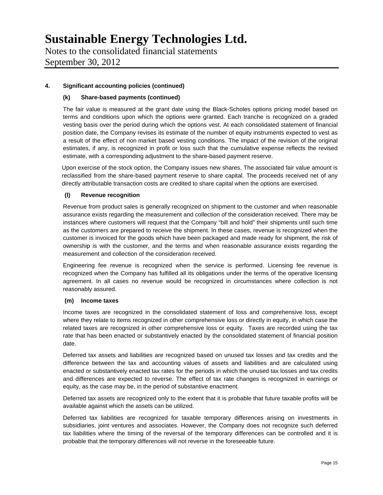Notes to the consolidated financial statements September 30, 2012

#### **4. Significant accounting policies (continued)**

#### **(k) Share-based payments (continued)**

The fair value is measured at the grant date using the Black-Scholes options pricing model based on terms and conditions upon which the options were granted. Each tranche is recognized on a graded vesting basis over the period during which the options vest. At each consolidated statement of financial position date, the Company revises its estimate of the number of equity instruments expected to vest as a result of the effect of non market based vesting conditions. The impact of the revision of the original estimates, if any, is recognized in profit or loss such that the cumulative expense reflects the revised estimate, with a corresponding adjustment to the share-based payment reserve.

Upon exercise of the stock option, the Company issues new shares. The associated fair value amount is reclassified from the share-based payment reserve to share capital. The proceeds received net of any directly attributable transaction costs are credited to share capital when the options are exercised.

#### **(l) Revenue recognition**

Revenue from product sales is generally recognized on shipment to the customer and when reasonable assurance exists regarding the measurement and collection of the consideration received. There may be instances where customers will request that the Company "bill and hold" their shipments until such time as the customers are prepared to receive the shipment. In these cases, revenue is recognized when the customer is invoiced for the goods which have been packaged and made ready for shipment, the risk of ownership is with the customer, and the terms and when reasonable assurance exists regarding the measurement and collection of the consideration received.

Engineering fee revenue is recognized when the service is performed. Licensing fee revenue is recognized when the Company has fulfilled all its obligations under the terms of the operative licensing agreement. In all cases no revenue would be recognized in circumstances where collection is not reasonably assured.

#### **(m) Income taxes**

Income taxes are recognized in the consolidated statement of loss and comprehensive loss, except where they relate to items recognized in other comprehensive loss or directly in equity, in which case the related taxes are recognized in other comprehensive loss or equity. Taxes are recorded using the tax rate that has been enacted or substantively enacted by the consolidated statement of financial position date.

Deferred tax assets and liabilities are recognized based on unused tax losses and tax credits and the difference between the tax and accounting values of assets and liabilities and are calculated using enacted or substantively enacted tax rates for the periods in which the unused tax losses and tax credits and differences are expected to reverse. The effect of tax rate changes is recognized in earnings or equity, as the case may be, in the period of substantive enactment.

Deferred tax assets are recognized only to the extent that it is probable that future taxable profits will be available against which the assets can be utilized.

Deferred tax liabilities are recognized for taxable temporary differences arising on investments in subsidiaries, joint ventures and associates. However, the Company does not recognize such deferred tax liabilities where the timing of the reversal of the temporary differences can be controlled and it is probable that the temporary differences will not reverse in the foreseeable future.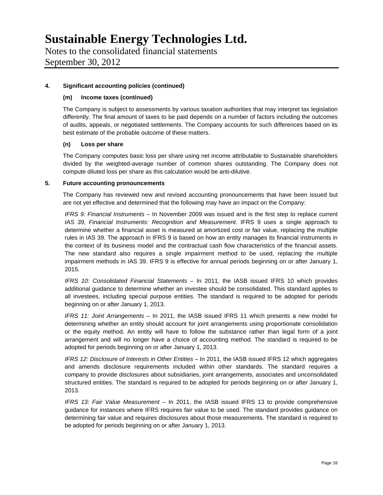Notes to the consolidated financial statements September 30, 2012

#### **4. Significant accounting policies (continued)**

#### **(m) Income taxes (continued)**

The Company is subject to assessments by various taxation authorities that may interpret tax legislation differently. The final amount of taxes to be paid depends on a number of factors including the outcomes of audits, appeals, or negotiated settlements. The Company accounts for such differences based on its best estimate of the probable outcome of these matters.

#### **(n) Loss per share**

The Company computes basic loss per share using net income attributable to Sustainable shareholders divided by the weighted-average number of common shares outstanding. The Company does not compute diluted loss per share as this calculation would be anti-dilutive.

#### **5. Future accounting pronouncements**

The Company has reviewed new and revised accounting pronouncements that have been issued but are not yet effective and determined that the following may have an impact on the Company:

*IFRS 9: Financial Instruments –* In November 2009 was issued and is the first step to replace current *IAS 39, Financial Instruments: Recognition and Measurement*. IFRS 9 uses a single approach to determine whether a financial asset is measured at amortized cost or fair value, replacing the multiple rules in IAS 39. The approach in IFRS 9 is based on how an entity manages its financial instruments in the context of its business model and the contractual cash flow characteristics of the financial assets. The new standard also requires a single impairment method to be used, replacing the multiple impairment methods in IAS 39. IFRS 9 is effective for annual periods beginning on or after January 1, 2015.

*IFRS 10: Consolidated Financial Statements* – In 2011, the IASB issued IFRS 10 which provides additional guidance to determine whether an investee should be consolidated. This standard applies to all investees, including special purpose entities. The standard is required to be adopted for periods beginning on or after January 1, 2013.

*IFRS 11: Joint Arrangements* – In 2011, the IASB issued IFRS 11 which presents a new model for determining whether an entity should account for joint arrangements using proportionate consolidation or the equity method. An entity will have to follow the substance rather than legal form of a joint arrangement and will no longer have a choice of accounting method. The standard is required to be adopted for periods beginning on or after January 1, 2013.

*IFRS 12: Disclosure of Interests in Other Entities – In 2011*, the IASB issued IFRS 12 which aggregates and amends disclosure requirements included within other standards. The standard requires a company to provide disclosures about subsidiaries, joint arrangements, associates and unconsolidated structured entities. The standard is required to be adopted for periods beginning on or after January 1, 2013.

*IFRS 13: Fair Value Measurement* – In 2011, the IASB issued IFRS 13 to provide comprehensive guidance for instances where IFRS requires fair value to be used. The standard provides guidance on determining fair value and requires disclosures about those measurements. The standard is required to be adopted for periods beginning on or after January 1, 2013.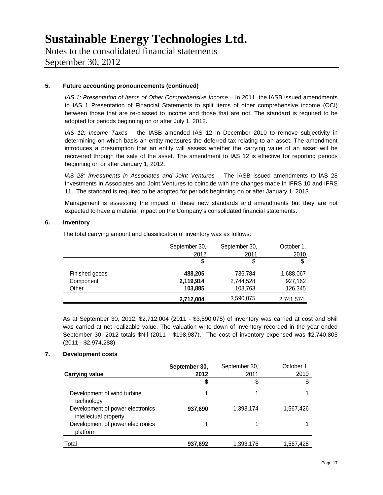Notes to the consolidated financial statements September 30, 2012

#### **5. Future accounting pronouncements (continued)**

*IAS 1: Presentation of Items of Other Comprehensive Income – In 2011, the IASB issued amendments* to IAS 1 Presentation of Financial Statements to split items of other comprehensive income (OCI) between those that are re-classed to income and those that are not. The standard is required to be adopted for periods beginning on or after July 1, 2012.

*IAS 12: Income Taxes* – the IASB amended IAS 12 in December 2010 to remove subjectivity in determining on which basis an entity measures the deferred tax relating to an asset. The amendment introduces a presumption that an entity will assess whether the carrying value of an asset will be recovered through the sale of the asset. The amendment to IAS 12 is effective for reporting periods beginning on or after January 1, 2012.

*lAS 28: Investments in Associates and Joint Ventures – The IASB issued amendments to IAS 28* Investments in Associates and Joint Ventures to coincide with the changes made in IFRS 10 and IFRS 11. The standard is required to be adopted for periods beginning on or after January 1, 2013.

Management is assessing the impact of these new standards and amendments but they are not expected to have a material impact on the Company's consolidated financial statements.

#### **6. Inventory**

The total carrying amount and classification of inventory was as follows:

|                | September 30, | September 30, | October 1, |
|----------------|---------------|---------------|------------|
|                | 2012          | 2011          | 2010       |
|                | S             | \$            |            |
| Finished goods | 488,205       | 736,784       | 1,688,067  |
| Component      | 2,119,914     | 2,744,528     | 927,162    |
| Other          | 103,885       | 108,763       | 126,345    |
|                | 2,712,004     | 3,590,075     | 2,741,574  |
|                |               |               |            |

As at September 30, 2012, \$2,712,004 (2011 - \$3,590,075) of inventory was carried at cost and \$Nil was carried at net realizable value. The valuation write-down of inventory recorded in the year ended September 30, 2012 totals \$Nil (2011 - \$198,987). The cost of inventory expensed was \$2,740,805 (2011 - \$2,974,288).

#### **7. Development costs**

| <b>Carrying value</b>                                     | September 30,<br>2012 | September 30,<br>2011 | October 1,<br>2010 |
|-----------------------------------------------------------|-----------------------|-----------------------|--------------------|
|                                                           | \$                    | \$                    | \$                 |
| Development of wind turbine<br>technology                 |                       |                       |                    |
| Development of power electronics<br>intellectual property | 937,690               | 1,393,174             | 1,567,426          |
| Development of power electronics<br>platform              |                       |                       |                    |
| Total                                                     | 937,692               | 1,393,176             | 1,567,428          |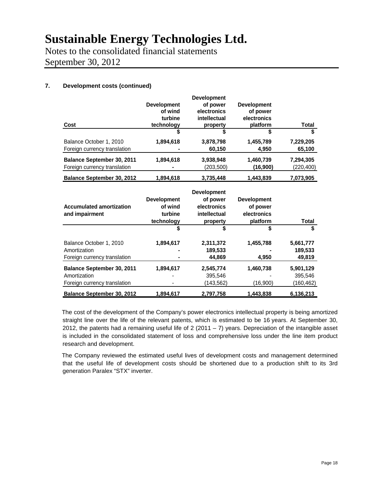Notes to the consolidated financial statements September 30, 2012

#### **7. Development costs (continued)**

|                                 |                    | <b>Development</b> |                    |              |
|---------------------------------|--------------------|--------------------|--------------------|--------------|
|                                 | <b>Development</b> | of power           | <b>Development</b> |              |
|                                 | of wind            | electronics        | of power           |              |
|                                 | turbine            | intellectual       | electronics        |              |
| Cost                            | technology         | property           | platform           | Total        |
|                                 | S                  | S                  | S                  | \$           |
| Balance October 1, 2010         | 1,894,618          | 3,878,798          | 1,455,789          | 7,229,205    |
| Foreign currency translation    |                    | 60,150             | 4,950              | 65,100       |
| Balance September 30, 2011      | 1,894,618          | 3,938,948          | 1,460,739          | 7,294,305    |
| Foreign currency translation    |                    | (203,500)          | (16,900)           | (220,400)    |
| Balance September 30, 2012      | 1,894,618          | 3,735,448          | 1,443,839          | 7,073,905    |
|                                 |                    | <b>Development</b> |                    |              |
|                                 | <b>Development</b> | of power           | <b>Development</b> |              |
| <b>Accumulated amortization</b> | of wind            | electronics        | of power           |              |
| and impairment                  | turbine            | intellectual       | electronics        |              |
|                                 | technology         | property           | platform           | <b>Total</b> |
|                                 | \$                 | \$                 | \$                 | \$           |
| Balance October 1, 2010         | 1,894,617          | 2,311,372          | 1,455,788          | 5,661,777    |
| Amortization                    |                    | 189,533            |                    | 189,533      |
| Foreign currency translation    |                    | 44,869             | 4,950              | 49,819       |
|                                 |                    |                    |                    |              |
| Balance September 30, 2011      | 1,894,617          | 2,545,774          | 1,460,738          | 5,901,129    |
| Amortization                    |                    | 395,546            |                    | 395,546      |
| Foreign currency translation    |                    | (143,562)          | (16,900)           | (160,462)    |
| Balance September 30, 2012      | 1,894,617          | 2,797,758          | 1,443,838          | 6,136,213    |

The cost of the development of the Company's power electronics intellectual property is being amortized straight line over the life of the relevant patents, which is estimated to be 16 years. At September 30, 2012, the patents had a remaining useful life of  $2(2011 - 7)$  years. Depreciation of the intangible asset is included in the consolidated statement of loss and comprehensive loss under the line item product research and development.

The Company reviewed the estimated useful lives of development costs and management determined that the useful life of development costs should be shortened due to a production shift to its 3rd generation Paralex "STX" inverter.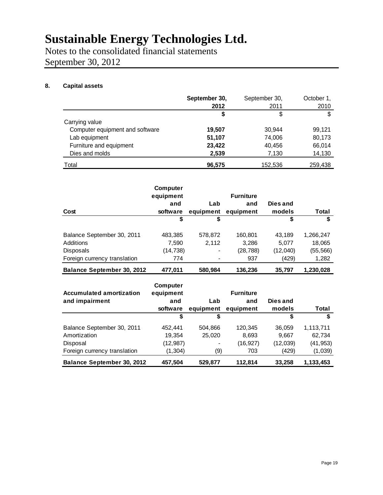Notes to the consolidated financial statements September 30, 2012

#### **8. Capital assets**

|                                 | September 30, | September 30, | October 1, |
|---------------------------------|---------------|---------------|------------|
|                                 | 2012          | 2011          | 2010       |
|                                 | \$            | \$            | \$         |
| Carrying value                  |               |               |            |
| Computer equipment and software | 19,507        | 30,944        | 99,121     |
| Lab equipment                   | 51,107        | 74,006        | 80,173     |
| Furniture and equipment         | 23,422        | 40,456        | 66,014     |
| Dies and molds                  | 2,539         | 7,130         | 14,130     |
| Total                           | 96,575        | 152,536       | 259,438    |

|                                   | Computer  |                |                  |          |           |
|-----------------------------------|-----------|----------------|------------------|----------|-----------|
|                                   | equipment |                | <b>Furniture</b> |          |           |
|                                   | and       | Lab            | and              | Dies and |           |
| Cost                              | software  | equipment      | equipment        | models   | Total     |
|                                   | \$        | \$             |                  | \$       | \$        |
| Balance September 30, 2011        | 483,385   | 578,872        | 160,801          | 43.189   | 1,266,247 |
| Additions                         | 7,590     | 2,112          | 3,286            | 5,077    | 18,065    |
| <b>Disposals</b>                  | (14, 738) | $\blacksquare$ | (28,788)         | (12,040) | (55, 566) |
| Foreign currency translation      | 774       |                | 937              | (429)    | 1,282     |
| <b>Balance September 30, 2012</b> | 477.011   | 580,984        | 136,236          | 35.797   | 1,230,028 |

| <b>Accumulated amortization</b> | Computer<br>equipment |                          | <b>Furniture</b> |          |           |
|---------------------------------|-----------------------|--------------------------|------------------|----------|-----------|
| and impairment                  | and                   | Lab                      | and              | Dies and |           |
|                                 | software              | equipment                | equipment        | models   | Total     |
|                                 | \$                    |                          |                  |          | S.        |
| Balance September 30, 2011      | 452,441               | 504.866                  | 120.345          | 36,059   | 1,113,711 |
| Amortization                    | 19.354                | 25.020                   | 8,693            | 9.667    | 62.734    |
| Disposal                        | (12, 987)             | $\overline{\phantom{a}}$ | (16,927)         | (12,039) | (41, 953) |
| Foreign currency translation    | (1, 304)              | (9)                      | 703              | (429)    | (1,039)   |
| Balance September 30, 2012      | 457,504               | 529,877                  | 112,814          | 33,258   | 1,133,453 |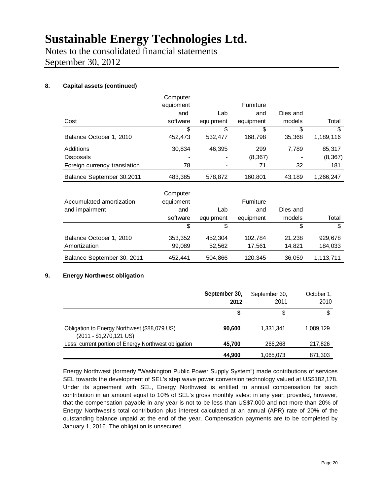Notes to the consolidated financial statements September 30, 2012

#### **8. Capital assets (continued)**

|                              | Computer  |                          |                  |          |           |
|------------------------------|-----------|--------------------------|------------------|----------|-----------|
|                              | equipment |                          | <b>Furniture</b> |          |           |
|                              | and       | Lab                      | and              | Dies and |           |
| Cost                         | software  | equipment                | equipment        | models   | Total     |
|                              | S         |                          | S                |          | \$        |
| Balance October 1, 2010      | 452,473   | 532,477                  | 168,798          | 35.368   | 1,189,116 |
| Additions                    | 30,834    | 46.395                   | 299              | 7.789    | 85,317    |
| Disposals                    |           |                          | (8, 367)         |          | (8, 367)  |
| Foreign currency translation | 78        | $\overline{\phantom{a}}$ | 71               | 32       | 181       |
| Balance September 30,2011    | 483,385   | 578,872                  | 160,801          | 43.189   | 1,266,247 |

|                            | Computer  |           |           |          |           |
|----------------------------|-----------|-----------|-----------|----------|-----------|
| Accumulated amortization   | equipment |           | Furniture |          |           |
| and impairment             | and       | Lab       | and       | Dies and |           |
|                            | software  | equipment | equipment | models   | Total     |
|                            | S         | S         |           |          | \$        |
| Balance October 1, 2010    | 353.352   | 452.304   | 102.784   | 21.238   | 929.678   |
| Amortization               | 99,089    | 52.562    | 17.561    | 14.821   | 184,033   |
| Balance September 30, 2011 | 452.441   | 504,866   | 120.345   | 36,059   | 1,113,711 |

#### **9. Energy Northwest obligation**

|                                                                         | September 30,<br>2012 | September 30,<br>2011 | October 1.<br>2010 |
|-------------------------------------------------------------------------|-----------------------|-----------------------|--------------------|
|                                                                         | S                     | S                     |                    |
| Obligation to Energy Northwest (\$88,079 US)<br>(2011 - \$1,270,121 US) | 90.600                | 1.331.341             | 1,089,129          |
| Less: current portion of Energy Northwest obligation                    | 45,700                | 266.268               | 217,826            |
|                                                                         | 44,900                | 1,065,073             | 871,303            |

Energy Northwest (formerly "Washington Public Power Supply System") made contributions of services SEL towards the development of SEL's step wave power conversion technology valued at US\$182,178. Under its agreement with SEL, Energy Northwest is entitled to annual compensation for such contribution in an amount equal to 10% of SEL's gross monthly sales: in any year; provided, however, that the compensation payable in any year is not to be less than US\$7,000 and not more than 20% of Energy Northwest's total contribution plus interest calculated at an annual (APR) rate of 20% of the outstanding balance unpaid at the end of the year. Compensation payments are to be completed by January 1, 2016. The obligation is unsecured.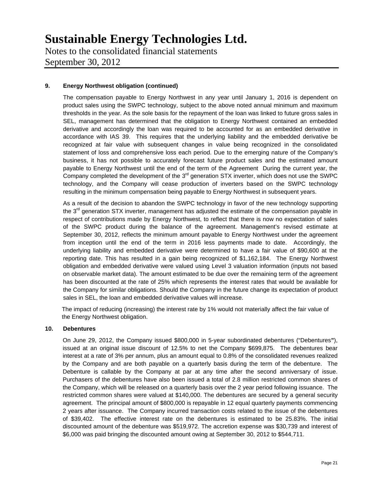Notes to the consolidated financial statements September 30, 2012

#### **9. Energy Northwest obligation (continued)**

The compensation payable to Energy Northwest in any year until January 1, 2016 is dependent on product sales using the SWPC technology, subject to the above noted annual minimum and maximum thresholds in the year. As the sole basis for the repayment of the loan was linked to future gross sales in SEL, management has determined that the obligation to Energy Northwest contained an embedded derivative and accordingly the loan was required to be accounted for as an embedded derivative in accordance with IAS 39. This requires that the underlying liability and the embedded derivative be recognized at fair value with subsequent changes in value being recognized in the consolidated statement of loss and comprehensive loss each period. Due to the emerging nature of the Company's business, it has not possible to accurately forecast future product sales and the estimated amount payable to Energy Northwest until the end of the term of the Agreement During the current year, the Company completed the development of the  $3<sup>rd</sup>$  generation STX inverter, which does not use the SWPC technology, and the Company will cease production of inverters based on the SWPC technology resulting in the minimum compensation being payable to Energy Northwest in subsequent years.

As a result of the decision to abandon the SWPC technology in favor of the new technology supporting the 3<sup>rd</sup> generation STX inverter, management has adjusted the estimate of the compensation payable in respect of contributions made by Energy Northwest, to reflect that there is now no expectation of sales of the SWPC product during the balance of the agreement. Management's revised estimate at September 30, 2012, reflects the minimum amount payable to Energy Northwest under the agreement from inception until the end of the term in 2016 less payments made to date. Accordingly, the underlying liability and embedded derivative were determined to have a fair value of \$90,600 at the reporting date. This has resulted in a gain being recognized of \$1,162,184. The Energy Northwest obligation and embedded derivative were valued using Level 3 valuation information (inputs not based on observable market data). The amount estimated to be due over the remaining term of the agreement has been discounted at the rate of 25% which represents the interest rates that would be available for the Company for similar obligations. Should the Company in the future change its expectation of product sales in SEL, the loan and embedded derivative values will increase.

The impact of reducing (increasing) the interest rate by 1% would not materially affect the fair value of the Energy Northwest obligation.

#### **10. Debentures**

On June 29, 2012, the Company issued \$800,000 in 5-year subordinated debentures ("Debentures**"**), issued at an original issue discount of 12.5% to net the Company \$699,875. The debentures bear interest at a rate of 3% per annum, plus an amount equal to 0.8% of the consolidated revenues realized by the Company and are both payable on a quarterly basis during the term of the debenture. The Debenture is callable by the Company at par at any time after the second anniversary of issue. Purchasers of the debentures have also been issued a total of 2.8 million restricted common shares of the Company, which will be released on a quarterly basis over the 2 year period following issuance. The restricted common shares were valued at \$140,000. The debentures are secured by a general security agreement. The principal amount of \$800,000 is repayable in 12 equal quarterly payments commencing 2 years after issuance. The Company incurred transaction costs related to the issue of the debentures of \$39,402. The effective interest rate on the debentures is estimated to be 25.83%. The initial discounted amount of the debenture was \$519,972. The accretion expense was \$30,739 and interest of \$6,000 was paid bringing the discounted amount owing at September 30, 2012 to \$544,711.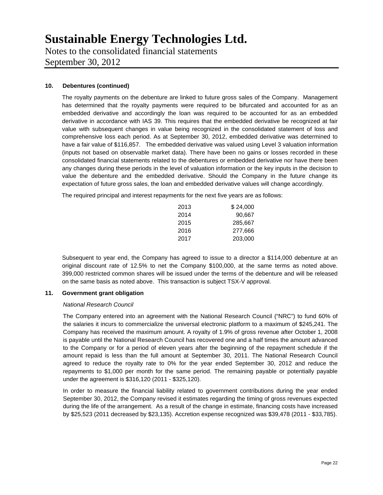Notes to the consolidated financial statements September 30, 2012

#### **10. Debentures (continued)**

The royalty payments on the debenture are linked to future gross sales of the Company. Management has determined that the royalty payments were required to be bifurcated and accounted for as an embedded derivative and accordingly the loan was required to be accounted for as an embedded derivative in accordance with IAS 39. This requires that the embedded derivative be recognized at fair value with subsequent changes in value being recognized in the consolidated statement of loss and comprehensive loss each period. As at September 30, 2012, embedded derivative was determined to have a fair value of \$116,857. The embedded derivative was valued using Level 3 valuation information (inputs not based on observable market data). There have been no gains or losses recorded in these consolidated financial statements related to the debentures or embedded derivative nor have there been any changes during these periods in the level of valuation information or the key inputs in the decision to value the debenture and the embedded derivative. Should the Company in the future change its expectation of future gross sales, the loan and embedded derivative values will change accordingly.

The required principal and interest repayments for the next five years are as follows:

| 2013 | \$24,000 |
|------|----------|
| 2014 | 90,667   |
| 2015 | 285,667  |
| 2016 | 277,666  |
| 2017 | 203,000  |

Subsequent to year end, the Company has agreed to issue to a director a \$114,000 debenture at an original discount rate of 12.5% to net the Company \$100,000, at the same terms as noted above. 399,000 restricted common shares will be issued under the terms of the debenture and will be released on the same basis as noted above. This transaction is subject TSX-V approval.

#### **11. Government grant obligation**

#### *National Research Council*

The Company entered into an agreement with the National Research Council ("NRC") to fund 60% of the salaries it incurs to commercialize the universal electronic platform to a maximum of \$245,241. The Company has received the maximum amount. A royalty of 1.9% of gross revenue after October 1, 2008 is payable until the National Research Council has recovered one and a half times the amount advanced to the Company or for a period of eleven years after the beginning of the repayment schedule if the amount repaid is less than the full amount at September 30, 2011. The National Research Council agreed to reduce the royalty rate to 0% for the year ended September 30, 2012 and reduce the repayments to \$1,000 per month for the same period. The remaining payable or potentially payable under the agreement is \$316,120 (2011 - \$325,120).

In order to measure the financial liability related to government contributions during the year ended September 30, 2012, the Company revised it estimates regarding the timing of gross revenues expected during the life of the arrangement. As a result of the change in estimate, financing costs have increased by \$25,523 (2011 decreased by \$23,135). Accretion expense recognized was \$39,478 (2011 - \$33,785).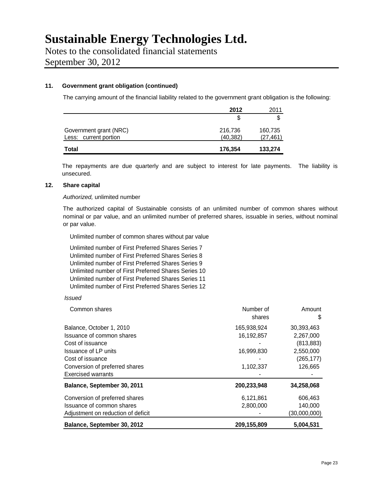Notes to the consolidated financial statements September 30, 2012

#### **11. Government grant obligation (continued)**

The carrying amount of the financial liability related to the government grant obligation is the following:

|                        | 2012      | 2011      |
|------------------------|-----------|-----------|
|                        |           |           |
| Government grant (NRC) | 216,736   | 160,735   |
| Less: current portion  | (40, 382) | (27, 461) |
| Total                  | 176,354   | 133,274   |

The repayments are due quarterly and are subject to interest for late payments. The liability is unsecured.

#### **12. Share capital**

#### *Authorized,* unlimited number

The authorized capital of Sustainable consists of an unlimited number of common shares without nominal or par value, and an unlimited number of preferred shares, issuable in series, without nominal or par value.

Unlimited number of common shares without par value

Unlimited number of First Preferred Shares Series 7 Unlimited number of First Preferred Shares Series 8 Unlimited number of First Preferred Shares Series 9 Unlimited number of First Preferred Shares Series 10 Unlimited number of First Preferred Shares Series 11 Unlimited number of First Preferred Shares Series 12

#### *Issued*

| Common shares                      | Number of<br>shares | Amount<br>S  |
|------------------------------------|---------------------|--------------|
| Balance, October 1, 2010           | 165,938,924         | 30,393,463   |
| Issuance of common shares          | 16,192,857          | 2,267,000    |
| Cost of issuance                   |                     | (813, 883)   |
| Issuance of LP units               | 16,999,830          | 2,550,000    |
| Cost of issuance                   |                     | (265, 177)   |
| Conversion of preferred shares     | 1,102,337           | 126,665      |
| <b>Exercised warrants</b>          |                     |              |
| Balance, September 30, 2011        | 200,233,948         | 34,258,068   |
| Conversion of preferred shares     | 6,121,861           | 606,463      |
| Issuance of common shares          | 2,800,000           | 140,000      |
| Adjustment on reduction of deficit |                     | (30,000,000) |
| Balance, September 30, 2012        | 209,155,809         | 5,004,531    |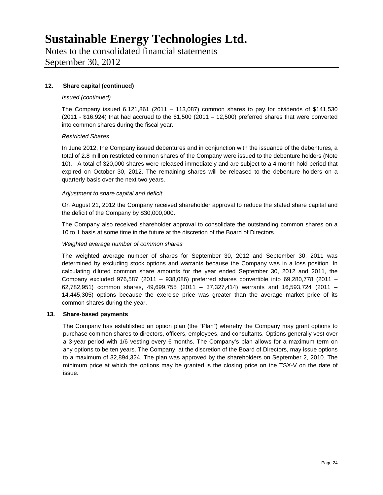Notes to the consolidated financial statements September 30, 2012

#### **12. Share capital (continued)**

#### *Issued (continued)*

The Company issued  $6,121,861$  (2011 – 113,087) common shares to pay for dividends of \$141,530 (2011 - \$16,924) that had accrued to the 61,500 (2011 – 12,500) preferred shares that were converted into common shares during the fiscal year.

#### *Restricted Shares*

In June 2012, the Company issued debentures and in conjunction with the issuance of the debentures, a total of 2.8 million restricted common shares of the Company were issued to the debenture holders (Note 10). A total of 320,000 shares were released immediately and are subject to a 4 month hold period that expired on October 30, 2012. The remaining shares will be released to the debenture holders on a quarterly basis over the next two years.

#### *Adjustment to share capital and deficit*

On August 21, 2012 the Company received shareholder approval to reduce the stated share capital and the deficit of the Company by \$30,000,000.

The Company also received shareholder approval to consolidate the outstanding common shares on a 10 to 1 basis at some time in the future at the discretion of the Board of Directors.

#### *Weighted average number of common shares*

The weighted average number of shares for September 30, 2012 and September 30, 2011 was determined by excluding stock options and warrants because the Company was in a loss position. In calculating diluted common share amounts for the year ended September 30, 2012 and 2011, the Company excluded 976,587 (2011 – 938,086) preferred shares convertible into 69,280,778 (2011 – 62,782,951) common shares, 49,699,755 (2011 – 37,327,414) warrants and 16,593,724 (2011 – 14,445,305) options because the exercise price was greater than the average market price of its common shares during the year.

#### **13. Share-based payments**

The Company has established an option plan (the "Plan") whereby the Company may grant options to purchase common shares to directors, officers, employees, and consultants. Options generally vest over a 3-year period with 1/6 vesting every 6 months. The Company's plan allows for a maximum term on any options to be ten years. The Company, at the discretion of the Board of Directors, may issue options to a maximum of 32,894,324. The plan was approved by the shareholders on September 2, 2010. The minimum price at which the options may be granted is the closing price on the TSX-V on the date of issue.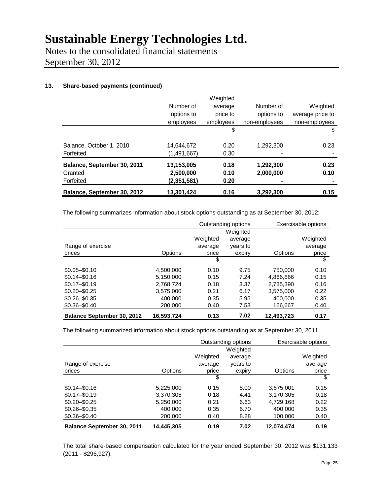Notes to the consolidated financial statements September 30, 2012

#### **13. Share-based payments (continued)**

|                             |             | Weighted  |               |                  |
|-----------------------------|-------------|-----------|---------------|------------------|
|                             | Number of   | average   | Number of     | Weighted         |
|                             | options to  | price to  | options to    | average price to |
|                             | employees   | employees | non-employees | non-employees    |
|                             |             | \$        |               | \$               |
| Balance, October 1, 2010    | 14,644,672  | 0.20      | 1,292,300     | 0.23             |
| Forfeited                   | (1,491,667) | 0.30      |               |                  |
| Balance, September 30, 2011 | 13,153,005  | 0.18      | 1,292,300     | 0.23             |
| Granted                     | 2,500,000   | 0.10      | 2,000,000     | 0.10             |
| Forfeited                   | (2,351,581) | 0.20      |               |                  |
| Balance, September 30, 2012 | 13,301,424  | 0.16      | 3,292,300     | 0.15             |

The following summarizes information about stock options outstanding as at September 30, 2012:

|                                   |            |          | Outstanding options |            | Exercisable options |
|-----------------------------------|------------|----------|---------------------|------------|---------------------|
|                                   |            |          | Weighted            |            |                     |
|                                   |            | Weighted | average             |            | Weighted            |
| Range of exercise                 |            | average  | years to            |            | average             |
| prices                            | Options    | price    | expiry              | Options    | price               |
|                                   |            | \$       |                     |            | \$                  |
| $$0.05 - $0.10$                   | 4.500.000  | 0.10     | 9.75                | 750.000    | 0.10                |
| $$0.14 - $0.16$                   | 5.150.000  | 0.15     | 7.24                | 4.866.666  | 0.15                |
| $$0.17 - $0.19$                   | 2.768.724  | 0.18     | 3.37                | 2.735.390  | 0.16                |
| $$0.20 - $0.25$                   | 3.575.000  | 0.21     | 6.17                | 3.575.000  | 0.22                |
| $$0.26 - $0.35$                   | 400.000    | 0.35     | 5.95                | 400.000    | 0.35                |
| $$0.36 - $0.40$                   | 200,000    | 0.40     | 7.53                | 166,667    | 0.40                |
| <b>Balance September 30, 2012</b> | 16.593.724 | 0.13     | 7.02                | 12.493.723 | 0.17                |

The following summarized information about stock options outstanding as at September 30, 2011

|                                   |                |          | Outstanding options |            | Exercisable options |
|-----------------------------------|----------------|----------|---------------------|------------|---------------------|
|                                   |                |          | Weighted            |            |                     |
|                                   |                | Weighted | average             |            | Weighted            |
| Range of exercise                 |                | average  | years to            |            | average             |
| prices                            | <b>Options</b> | price    | expiry              | Options    | price               |
|                                   |                | \$       |                     |            |                     |
| $$0.14 - $0.16$                   | 5,225,000      | 0.15     | 8.00                | 3,675,001  | 0.15                |
| $$0.17 - $0.19$                   | 3,370,305      | 0.18     | 4.41                | 3,170,305  | 0.18                |
| $$0.20 - $0.25$                   | 5,250,000      | 0.21     | 6.63                | 4,729,168  | 0.22                |
| $$0.26 - $0.35$                   | 400,000        | 0.35     | 6.70                | 400.000    | 0.35                |
| $$0.36 - $0.40$                   | 200,000        | 0.40     | 8.28                | 100,000    | 0.40                |
| <b>Balance September 30, 2011</b> | 14,445,305     | 0.19     | 7.02                | 12.074,474 | 0.19                |

The total share-based compensation calculated for the year ended September 30, 2012 was \$131,133 (2011 - \$296,927).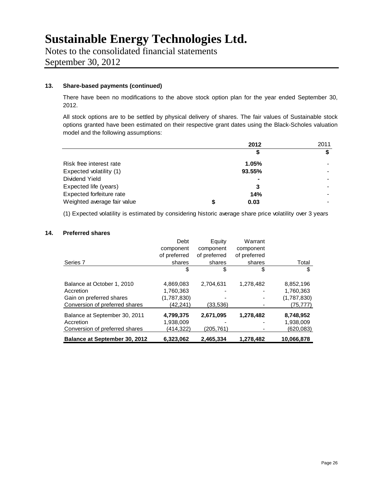Notes to the consolidated financial statements September 30, 2012

#### **13. Share-based payments (continued)**

There have been no modifications to the above stock option plan for the year ended September 30, 2012.

All stock options are to be settled by physical delivery of shares. The fair values of Sustainable stock options granted have been estimated on their respective grant dates using the Black-Scholes valuation model and the following assumptions:

|                             | 2012   | 2011 |
|-----------------------------|--------|------|
|                             |        |      |
| Risk free interest rate     | 1.05%  |      |
| Expected volatility (1)     | 93.55% |      |
| Dividend Yield              | ۰      |      |
| Expected life (years)       | 3      |      |
| Expected forfeiture rate    | 14%    |      |
| Weighted average fair value | 0.03   |      |

(1) Expected volatility is estimated by considering historic average share price volatility over 3 years

#### **14. Preferred shares**

|                                      | Debt         | Equity       | Warrant      |             |
|--------------------------------------|--------------|--------------|--------------|-------------|
|                                      | component    | component    | component    |             |
|                                      | of preferred | of preferred | of preferred |             |
| Series 7                             | shares       | shares       | shares       | Total       |
|                                      | \$           | \$           | \$           | \$          |
| Balance at October 1, 2010           | 4,869,083    | 2.704.631    | 1,278,482    | 8,852,196   |
| Accretion                            | 1,760,363    |              |              | 1,760,363   |
| Gain on preferred shares             | (1,787,830)  |              |              | (1,787,830) |
| Conversion of preferred shares       | (42,241)     | (33,536)     |              | (75, 777)   |
| Balance at September 30, 2011        | 4,799,375    | 2,671,095    | 1,278,482    | 8,748,952   |
| Accretion                            | 1,938,009    |              |              | 1,938,009   |
| Conversion of preferred shares       | (414,322)    | (205, 761)   |              | (620,083)   |
| <b>Balance at September 30, 2012</b> | 6,323,062    | 2.465.334    | 1,278,482    | 10,066,878  |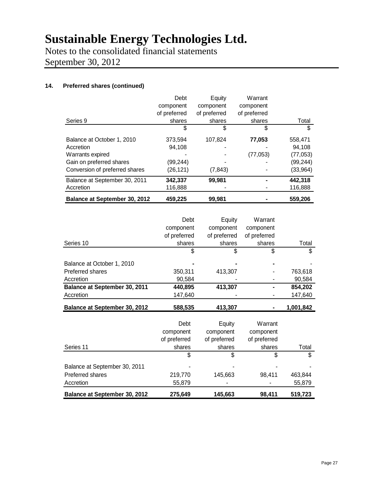Notes to the consolidated financial statements September 30, 2012

#### **14. Preferred shares (continued)**

|                                      | Debt         | Equity       | Warrant      |           |
|--------------------------------------|--------------|--------------|--------------|-----------|
|                                      | component    | component    | component    |           |
|                                      | of preferred | of preferred | of preferred |           |
| Series 9                             | shares       | shares       | shares       | Total     |
|                                      | \$           | \$           | \$           | S         |
| Balance at October 1, 2010           | 373,594      | 107,824      | 77,053       | 558,471   |
| Accretion                            | 94,108       |              |              | 94,108    |
| Warrants expired                     |              |              | (77, 053)    | (77, 053) |
| Gain on preferred shares             | (99,244)     |              |              | (99,244)  |
| Conversion of preferred shares       | (26,121)     | (7, 843)     |              | (33, 964) |
| Balance at September 30, 2011        | 342,337      | 99.981       |              | 442.318   |
| Accretion                            | 116,888      |              |              | 116,888   |
| <b>Balance at September 30, 2012</b> | 459,225      | 99,981       |              | 559.206   |

|                                      | Debt         | Equity       | Warrant      |           |
|--------------------------------------|--------------|--------------|--------------|-----------|
|                                      | component    | component    | component    |           |
|                                      | of preferred | of preferred | of preferred |           |
| Series 10                            | shares       | shares       | shares       | Total     |
|                                      | \$           | \$           | \$           | \$        |
|                                      |              |              |              |           |
| Balance at October 1, 2010           |              |              |              |           |
| Preferred shares                     | 350,311      | 413,307      |              | 763,618   |
| Accretion                            | 90,584       |              |              | 90,584    |
| <b>Balance at September 30, 2011</b> | 440,895      | 413,307      |              | 854,202   |
| Accretion                            | 147,640      |              |              | 147,640   |
| <b>Balance at September 30, 2012</b> | 588,535      | 413,307      |              | 1,001,842 |
|                                      |              |              |              |           |
|                                      | Debt         | Equity       | Warrant      |           |
|                                      | component    | component    | component    |           |
|                                      | of preferred | of preferred | of preferred |           |
| Series 11                            | shares       | shares       | shares       | Total     |
|                                      | \$           | \$           | \$           | \$        |
| Balance at September 30, 2011        |              |              |              |           |
|                                      |              |              |              |           |
|                                      |              |              |              |           |
| Preferred shares                     | 219,770      | 145,663      | 98,411       | 463,844   |
| Accretion                            | 55,879       |              |              | 55,879    |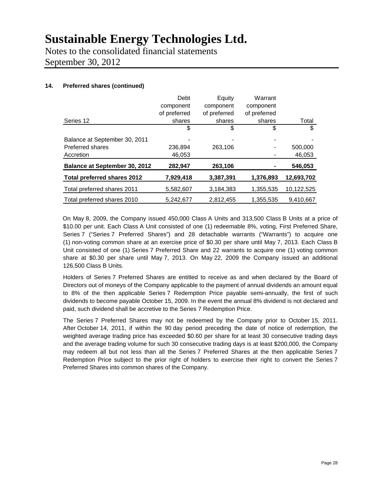Notes to the consolidated financial statements September 30, 2012

#### **14. Preferred shares (continued)**

|                                      | Debt         | Equity       | Warrant        |            |
|--------------------------------------|--------------|--------------|----------------|------------|
|                                      | component    | component    | component      |            |
|                                      | of preferred | of preferred | of preferred   |            |
| Series 12                            | shares       | shares       | shares         | Total      |
|                                      | \$           | \$           | \$             | \$         |
| Balance at September 30, 2011        |              |              | $\blacksquare$ |            |
| Preferred shares                     | 236,894      | 263,106      |                | 500,000    |
| Accretion                            | 46,053       |              |                | 46,053     |
| <b>Balance at September 30, 2012</b> | 282,947      | 263,106      |                | 546,053    |
| Total preferred shares 2012          | 7,929,418    | 3,387,391    | 1,376,893      | 12,693,702 |
| Total preferred shares 2011          | 5,582,607    | 3,184,383    | 1,355,535      | 10,122,525 |
| Total preferred shares 2010          | 5,242,677    | 2,812,455    | 1,355,535      | 9,410,667  |

On May 8, 2009, the Company issued 450,000 Class A Units and 313,500 Class B Units at a price of \$10.00 per unit. Each Class A Unit consisted of one (1) redeemable 8%, voting, First Preferred Share, Series 7 ("Series 7 Preferred Shares") and 28 detachable warrants ("Warrants") to acquire one (1) non-voting common share at an exercise price of \$0.30 per share until May 7, 2013. Each Class B Unit consisted of one (1) Series 7 Preferred Share and 22 warrants to acquire one (1) voting common share at \$0.30 per share until May 7, 2013. On May 22, 2009 the Company issued an additional 126,500 Class B Units.

Holders of Series 7 Preferred Shares are entitled to receive as and when declared by the Board of Directors out of moneys of the Company applicable to the payment of annual dividends an amount equal to 8% of the then applicable Series 7 Redemption Price payable semi-annually, the first of such dividends to become payable October 15, 2009. In the event the annual 8% dividend is not declared and paid, such dividend shall be accretive to the Series 7 Redemption Price.

The Series 7 Preferred Shares may not be redeemed by the Company prior to October 15, 2011. After October 14, 2011, if within the 90 day period preceding the date of notice of redemption, the weighted average trading price has exceeded \$0.60 per share for at least 30 consecutive trading days and the average trading volume for such 30 consecutive trading days is at least \$200,000, the Company may redeem all but not less than all the Series 7 Preferred Shares at the then applicable Series 7 Redemption Price subject to the prior right of holders to exercise their right to convert the Series 7 Preferred Shares into common shares of the Company.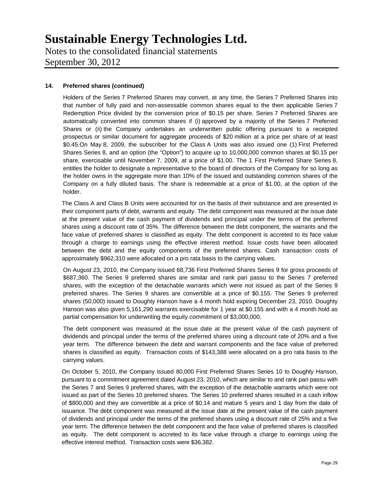Notes to the consolidated financial statements September 30, 2012

#### **14. Preferred shares (continued)**

Holders of the Series 7 Preferred Shares may convert, at any time, the Series 7 Preferred Shares into that number of fully paid and non-assessable common shares equal to the then applicable Series 7 Redemption Price divided by the conversion price of \$0.15 per share. Series 7 Preferred Shares are automatically converted into common shares if (i) approved by a majority of the Series 7 Preferred Shares or (ii) the Company undertakes an underwritten public offering pursuant to a receipted prospectus or similar document for aggregate proceeds of \$20 million at a price per share of at least \$0.45.On May 8, 2009, the subscriber for the Class A Units was also issued one (1) First Preferred Shares Series 8, and an option (the "Option") to acquire up to 10,000,000 common shares at \$0.15 per share, exercisable until November 7, 2009, at a price of \$1.00. The 1 First Preferred Share Series 8, entitles the holder to designate a representative to the board of directors of the Company for so long as the holder owns in the aggregate more than 10% of the issued and outstanding common shares of the Company on a fully diluted basis. The share is redeemable at a price of \$1.00, at the option of the holder.

The Class A and Class B Units were accounted for on the basis of their substance and are presented in their component parts of debt, warrants and equity. The debt component was measured at the issue date at the present value of the cash payment of dividends and principal under the terms of the preferred shares using a discount rate of 35%. The difference between the debt component, the warrants and the face value of preferred shares is classified as equity. The debt component is accreted to its face value through a charge to earnings using the effective interest method. Issue costs have been allocated between the debt and the equity components of the preferred shares. Cash transaction costs of approximately \$962,310 were allocated on a pro rata basis to the carrying values.

On August 23, 2010, the Company issued 68,736 First Preferred Shares Series 9 for gross proceeds of \$687,360. The Series 9 preferred shares are similar and rank pari passu to the Series 7 preferred shares, with the exception of the detachable warrants which were not issued as part of the Series 9 preferred shares. The Series 9 shares are convertible at a price of \$0.155. The Series 9 preferred shares (50,000) issued to Doughty Hanson have a 4 month hold expiring December 23, 2010. Doughty Hanson was also given 5,161,290 warrants exercisable for 1 year at \$0.155 and with a 4 month hold as partial compensation for underwriting the equity commitment of \$3,000,000.

The debt component was measured at the issue date at the present value of the cash payment of dividends and principal under the terms of the preferred shares using a discount rate of 20% and a five year term. The difference between the debt and warrant components and the face value of preferred shares is classified as equity. Transaction costs of \$143,388 were allocated on a pro rata basis to the carrying values.

On October 5, 2010, the Company issued 80,000 First Preferred Shares Series 10 to Doughty Hanson, pursuant to a commitment agreement dated August 23, 2010, which are similar to and rank pari passu with the Series 7 and Series 9 preferred shares, with the exception of the detachable warrants which were not issued as part of the Series 10 preferred shares. The Series 10 preferred shares resulted in a cash inflow of \$800,000 and they are convertible at a price of \$0.14 and mature 5 years and 1 day from the date of issuance. The debt component was measured at the issue date at the present value of the cash payment of dividends and principal under the terms of the preferred shares using a discount rate of 25% and a five year term. The difference between the debt component and the face value of preferred shares is classified as equity. The debt component is accreted to its face value through a charge to earnings using the effective interest method. Transaction costs were \$36,382.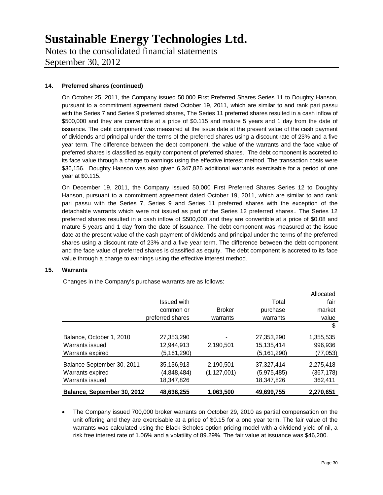Notes to the consolidated financial statements September 30, 2012

#### **14. Preferred shares (continued)**

On October 25, 2011, the Company issued 50,000 First Preferred Shares Series 11 to Doughty Hanson, pursuant to a commitment agreement dated October 19, 2011, which are similar to and rank pari passu with the Series 7 and Series 9 preferred shares, The Series 11 preferred shares resulted in a cash inflow of \$500,000 and they are convertible at a price of \$0.115 and mature 5 years and 1 day from the date of issuance. The debt component was measured at the issue date at the present value of the cash payment of dividends and principal under the terms of the preferred shares using a discount rate of 23% and a five year term. The difference between the debt component, the value of the warrants and the face value of preferred shares is classified as equity component of preferred shares. The debt component is accreted to its face value through a charge to earnings using the effective interest method. The transaction costs were \$36,156. Doughty Hanson was also given 6,347,826 additional warrants exercisable for a period of one year at \$0.115.

On December 19, 2011, the Company issued 50,000 First Preferred Shares Series 12 to Doughty Hanson, pursuant to a commitment agreement dated October 19, 2011, which are similar to and rank pari passu with the Series 7, Series 9 and Series 11 preferred shares with the exception of the detachable warrants which were not issued as part of the Series 12 preferred shares.. The Series 12 preferred shares resulted in a cash inflow of \$500,000 and they are convertible at a price of \$0.08 and mature 5 years and 1 day from the date of issuance. The debt component was measured at the issue date at the present value of the cash payment of dividends and principal under the terms of the preferred shares using a discount rate of 23% and a five year term. The difference between the debt component and the face value of preferred shares is classified as equity. The debt component is accreted to its face value through a charge to earnings using the effective interest method.

#### **15. Warrants**

Changes in the Company's purchase warrants are as follows:

|                             |                    |               |               | Allocated |
|-----------------------------|--------------------|---------------|---------------|-----------|
|                             | <b>Issued with</b> |               | Total         | fair      |
|                             | common or          | <b>Broker</b> | purchase      | market    |
|                             | preferred shares   | warrants      | warrants      | value     |
|                             |                    |               |               | \$.       |
| Balance, October 1, 2010    | 27,353,290         | ۰             | 27,353,290    | 1,355,535 |
| Warrants issued             | 12,944,913         | 2,190,501     | 15,135,414    | 996,936   |
| Warrants expired            | (5,161,290)        |               | (5, 161, 290) | (77,053)  |
| Balance September 30, 2011  | 35,136,913         | 2,190,501     | 37,327,414    | 2,275,418 |
| Warrants expired            | (4,848,484)        | (1, 127, 001) | (5,975,485)   | (367,178) |
| Warrants issued             | 18,347,826         |               | 18,347,826    | 362,411   |
| Balance, September 30, 2012 | 48,636,255         | 1,063,500     | 49,699,755    | 2,270,651 |

 The Company issued 700,000 broker warrants on October 29, 2010 as partial compensation on the unit offering and they are exercisable at a price of \$0.15 for a one year term. The fair value of the warrants was calculated using the Black-Scholes option pricing model with a dividend yield of nil, a risk free interest rate of 1.06% and a volatility of 89.29%. The fair value at issuance was \$46,200.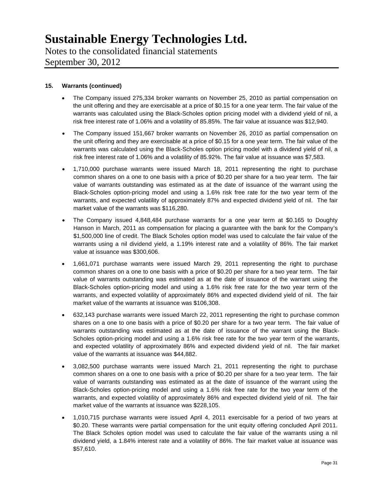Notes to the consolidated financial statements September 30, 2012

#### **15. Warrants (continued)**

- The Company issued 275,334 broker warrants on November 25, 2010 as partial compensation on the unit offering and they are exercisable at a price of \$0.15 for a one year term. The fair value of the warrants was calculated using the Black-Scholes option pricing model with a dividend yield of nil, a risk free interest rate of 1.06% and a volatility of 85.85%. The fair value at issuance was \$12,940.
- The Company issued 151,667 broker warrants on November 26, 2010 as partial compensation on the unit offering and they are exercisable at a price of \$0.15 for a one year term. The fair value of the warrants was calculated using the Black-Scholes option pricing model with a dividend yield of nil, a risk free interest rate of 1.06% and a volatility of 85.92%. The fair value at issuance was \$7,583.
- 1,710,000 purchase warrants were issued March 18, 2011 representing the right to purchase common shares on a one to one basis with a price of \$0.20 per share for a two year term. The fair value of warrants outstanding was estimated as at the date of issuance of the warrant using the Black-Scholes option-pricing model and using a 1.6% risk free rate for the two year term of the warrants, and expected volatility of approximately 87% and expected dividend yield of nil.The fair market value of the warrants was \$116,280.
- The Company issued 4,848,484 purchase warrants for a one year term at \$0.165 to Doughty Hanson in March, 2011 as compensation for placing a guarantee with the bank for the Company's \$1,500,000 line of credit. The Black Scholes option model was used to calculate the fair value of the warrants using a nil dividend yield, a 1.19% interest rate and a volatility of 86%. The fair market value at issuance was \$300,606.
- 1,661,071 purchase warrants were issued March 29, 2011 representing the right to purchase common shares on a one to one basis with a price of \$0.20 per share for a two year term. The fair value of warrants outstanding was estimated as at the date of issuance of the warrant using the Black-Scholes option-pricing model and using a 1.6% risk free rate for the two year term of the warrants, and expected volatility of approximately 86% and expected dividend yield of nil. The fair market value of the warrants at issuance was \$106,308.
- 632,143 purchase warrants were issued March 22, 2011 representing the right to purchase common shares on a one to one basis with a price of \$0.20 per share for a two year term. The fair value of warrants outstanding was estimated as at the date of issuance of the warrant using the Black-Scholes option-pricing model and using a 1.6% risk free rate for the two year term of the warrants, and expected volatility of approximately 86% and expected dividend yield of nil.The fair market value of the warrants at issuance was \$44,882.
- 3,082,500 purchase warrants were issued March 21, 2011 representing the right to purchase common shares on a one to one basis with a price of \$0.20 per share for a two year term. The fair value of warrants outstanding was estimated as at the date of issuance of the warrant using the Black-Scholes option-pricing model and using a 1.6% risk free rate for the two year term of the warrants, and expected volatility of approximately 86% and expected dividend yield of nil.The fair market value of the warrants at issuance was \$228,105.
- 1,010,715 purchase warrants were issued April 4, 2011 exercisable for a period of two years at \$0.20. These warrants were partial compensation for the unit equity offering concluded April 2011. The Black Scholes option model was used to calculate the fair value of the warrants using a nil dividend yield, a 1.84% interest rate and a volatility of 86%. The fair market value at issuance was \$57,610.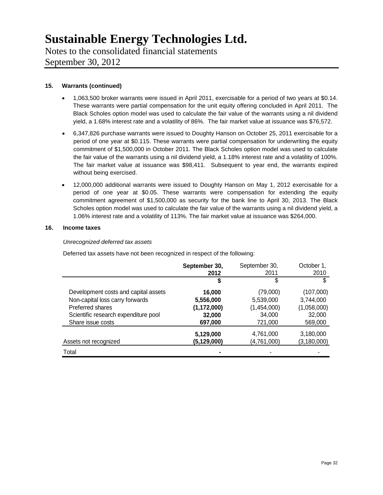Notes to the consolidated financial statements September 30, 2012

#### **15. Warrants (continued)**

- 1,063,500 broker warrants were issued in April 2011, exercisable for a period of two years at \$0.14. These warrants were partial compensation for the unit equity offering concluded in April 2011. The Black Scholes option model was used to calculate the fair value of the warrants using a nil dividend yield, a 1.68% interest rate and a volatility of 86%. The fair market value at issuance was \$76,572.
- 6,347,826 purchase warrants were issued to Doughty Hanson on October 25, 2011 exercisable for a period of one year at \$0.115. These warrants were partial compensation for underwriting the equity commitment of \$1,500,000 in October 2011. The Black Scholes option model was used to calculate the fair value of the warrants using a nil dividend yield, a 1.18% interest rate and a volatility of 100%. The fair market value at issuance was \$98,411. Subsequent to year end, the warrants expired without being exercised.
- 12,000,000 additional warrants were issued to Doughty Hanson on May 1, 2012 exercisable for a period of one year at \$0.05. These warrants were compensation for extending the equity commitment agreement of \$1,500,000 as security for the bank line to April 30, 2013. The Black Scholes option model was used to calculate the fair value of the warrants using a nil dividend yield, a 1.06% interest rate and a volatility of 113%. The fair market value at issuance was \$264,000.

#### **16. Income taxes**

*Unrecognized deferred tax assets* 

Deferred tax assets have not been recognized in respect of the following:

|                                      | September 30,<br>2012 | September 30,<br>2011 | October 1,<br>2010 |
|--------------------------------------|-----------------------|-----------------------|--------------------|
|                                      | \$                    | \$                    | S                  |
| Development costs and capital assets | 16,000                | (79,000)              | (107,000)          |
| Non-capital loss carry forwards      | 5,556,000             | 5,539,000             | 3,744,000          |
| Preferred shares                     | (1, 172, 000)         | (1,454,000)           | (1,058,000)        |
| Scientific research expenditure pool | 32,000                | 34,000                | 32,000             |
| Share issue costs                    | 697,000               | 721,000               | 569,000            |
|                                      | 5,129,000             | 4,761,000             | 3,180,000          |
| Assets not recognized                | (5, 129, 000)         | (4,761,000)           | (3, 180, 000)      |
| Total                                |                       |                       |                    |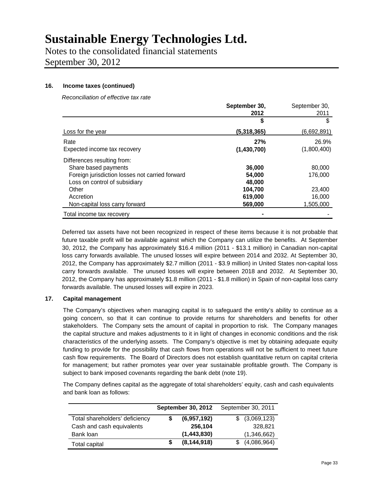Notes to the consolidated financial statements September 30, 2012

#### **16. Income taxes (continued)**

*Reconciliation of effective tax rate* 

|                                                 | September 30, | September 30, |
|-------------------------------------------------|---------------|---------------|
|                                                 | 2012          | 2011          |
|                                                 |               | S             |
| Loss for the year                               | (5,318,365)   | (6,692,891)   |
| Rate                                            | 27%           | 26.9%         |
| Expected income tax recovery                    | (1,430,700)   | (1,800,400)   |
| Differences resulting from:                     |               |               |
| Share based payments                            | 36,000        | 80,000        |
| Foreign jurisdiction losses not carried forward | 54,000        | 176,000       |
| Loss on control of subsidiary                   | 48,000        |               |
| Other                                           | 104,700       | 23,400        |
| Accretion                                       | 619,000       | 16,000        |
| Non-capital loss carry forward                  | 569,000       | 1,505,000     |
| Total income tax recovery                       |               |               |

Deferred tax assets have not been recognized in respect of these items because it is not probable that future taxable profit will be available against which the Company can utilize the benefits. At September 30, 2012, the Company has approximately \$16.4 million (2011 - \$13.1 million) in Canadian non-capital loss carry forwards available. The unused losses will expire between 2014 and 2032. At September 30, 2012, the Company has approximately \$2.7 million (2011 - \$3.9 million) in United States non-capital loss carry forwards available. The unused losses will expire between 2018 and 2032. At September 30, 2012, the Company has approximately \$1.8 million (2011 - \$1.8 million) in Spain of non-capital loss carry forwards available. The unused losses will expire in 2023.

#### **17. Capital management**

The Company's objectives when managing capital is to safeguard the entity's ability to continue as a going concern, so that it can continue to provide returns for shareholders and benefits for other stakeholders. The Company sets the amount of capital in proportion to risk. The Company manages the capital structure and makes adjustments to it in light of changes in economic conditions and the risk characteristics of the underlying assets. The Company's objective is met by obtaining adequate equity funding to provide for the possibility that cash flows from operations will not be sufficient to meet future cash flow requirements. The Board of Directors does not establish quantitative return on capital criteria for management; but rather promotes year over year sustainable profitable growth. The Company is subject to bank imposed covenants regarding the bank debt (note 19).

The Company defines capital as the aggregate of total shareholders' equity, cash and cash equivalents and bank loan as follows:

|                                | <b>September 30, 2012</b> |               | September 30, 2011 |
|--------------------------------|---------------------------|---------------|--------------------|
| Total shareholders' deficiency |                           | (6,957,192)   | (3,069,123)        |
| Cash and cash equivalents      |                           | 256,104       | 328.821            |
| Bank loan                      |                           | (1,443,830)   | (1,346,662)        |
| Total capital                  |                           | (8, 144, 918) | (4,086,964)        |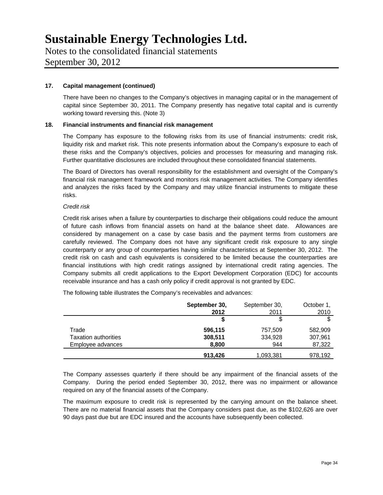Notes to the consolidated financial statements September 30, 2012

#### **17. Capital management (continued)**

There have been no changes to the Company's objectives in managing capital or in the management of capital since September 30, 2011. The Company presently has negative total capital and is currently working toward reversing this. (Note 3)

#### **18. Financial instruments and financial risk management**

The Company has exposure to the following risks from its use of financial instruments: credit risk, liquidity risk and market risk. This note presents information about the Company's exposure to each of these risks and the Company's objectives, policies and processes for measuring and managing risk. Further quantitative disclosures are included throughout these consolidated financial statements.

The Board of Directors has overall responsibility for the establishment and oversight of the Company's financial risk management framework and monitors risk management activities. The Company identifies and analyzes the risks faced by the Company and may utilize financial instruments to mitigate these risks.

#### *Credit risk*

Credit risk arises when a failure by counterparties to discharge their obligations could reduce the amount of future cash inflows from financial assets on hand at the balance sheet date. Allowances are considered by management on a case by case basis and the payment terms from customers are carefully reviewed. The Company does not have any significant credit risk exposure to any single counterparty or any group of counterparties having similar characteristics at September 30, 2012. The credit risk on cash and cash equivalents is considered to be limited because the counterparties are financial institutions with high credit ratings assigned by international credit rating agencies. The Company submits all credit applications to the Export Development Corporation (EDC) for accounts receivable insurance and has a cash only policy if credit approval is not granted by EDC.

The following table illustrates the Company's receivables and advances:

|                             | September 30, | September 30, | October 1, |
|-----------------------------|---------------|---------------|------------|
|                             | 2012          | 2011          | 2010       |
|                             |               |               | \$         |
| Trade                       | 596,115       | 757,509       | 582,909    |
| <b>Taxation authorities</b> | 308,511       | 334,928       | 307,961    |
| Employee advances           | 8,800         | 944           | 87,322     |
|                             | 913,426       | 1,093,381     | 978,192    |

The Company assesses quarterly if there should be any impairment of the financial assets of the Company. During the period ended September 30, 2012, there was no impairment or allowance required on any of the financial assets of the Company.

The maximum exposure to credit risk is represented by the carrying amount on the balance sheet. There are no material financial assets that the Company considers past due, as the \$102,626 are over 90 days past due but are EDC insured and the accounts have subsequently been collected.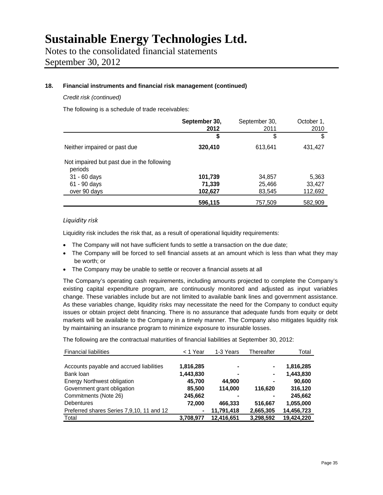Notes to the consolidated financial statements September 30, 2012

#### **18. Financial instruments and financial risk management (continued)**

*Credit risk (continued)* 

The following is a schedule of trade receivables:

|                                                       | September 30, | September 30, | October 1, |
|-------------------------------------------------------|---------------|---------------|------------|
|                                                       | 2012          | 2011          | 2010       |
|                                                       | \$            | \$            |            |
| Neither impaired or past due                          | 320,410       | 613,641       | 431,427    |
| Not impaired but past due in the following<br>periods |               |               |            |
| 31 - 60 days                                          | 101,739       | 34,857        | 5,363      |
| 61 - 90 days                                          | 71,339        | 25,466        | 33,427     |
| over 90 days                                          | 102,627       | 83,545        | 112,692    |
|                                                       | 596,115       | 757,509       | 582.909    |

#### *Liquidity risk*

Liquidity risk includes the risk that, as a result of operational liquidity requirements:

- The Company will not have sufficient funds to settle a transaction on the due date;
- The Company will be forced to sell financial assets at an amount which is less than what they may be worth; or
- The Company may be unable to settle or recover a financial assets at all

The Company's operating cash requirements, including amounts projected to complete the Company's existing capital expenditure program, are continuously monitored and adjusted as input variables change. These variables include but are not limited to available bank lines and government assistance. As these variables change, liquidity risks may necessitate the need for the Company to conduct equity issues or obtain project debt financing. There is no assurance that adequate funds from equity or debt markets will be available to the Company in a timely manner. The Company also mitigates liquidity risk by maintaining an insurance program to minimize exposure to insurable losses.

The following are the contractual maturities of financial liabilities at September 30, 2012:

| <b>Financial liabilities</b>              | < 1 Year  | 1-3 Years  | Thereafter     | Total      |
|-------------------------------------------|-----------|------------|----------------|------------|
|                                           |           |            |                |            |
| Accounts payable and accrued liabilities  | 1,816,285 | ۰          | $\blacksquare$ | 1,816,285  |
| Bank loan                                 | 1,443,830 | ۰          | ۰              | 1,443,830  |
| Energy Northwest obligation               | 45,700    | 44.900     | -              | 90,600     |
| Government grant obligation               | 85,500    | 114.000    | 116.620        | 316,120    |
| Commitments (Note 26)                     | 245,662   |            | ٠              | 245,662    |
| <b>Debentures</b>                         | 72,000    | 466,333    | 516,667        | 1,055,000  |
| Preferred shares Series 7,9,10, 11 and 12 | ۰         | 11,791,418 | 2,665,305      | 14,456,723 |
| Total                                     | 3,708,977 | 12.416.651 | 3,298,592      | 19,424,220 |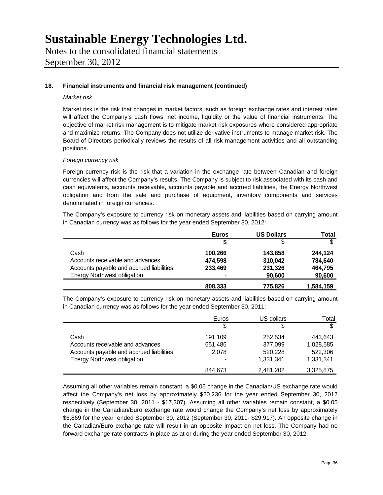Notes to the consolidated financial statements September 30, 2012

#### **18. Financial instruments and financial risk management (continued)**

#### *Market risk*

Market risk is the risk that changes in market factors, such as foreign exchange rates and interest rates will affect the Company's cash flows, net income, liquidity or the value of financial instruments. The objective of market risk management is to mitigate market risk exposures where considered appropriate and maximize returns. The Company does not utilize derivative instruments to manage market risk. The Board of Directors periodically reviews the results of all risk management activities and all outstanding positions.

#### *Foreign currency risk*

Foreign currency risk is the risk that a variation in the exchange rate between Canadian and foreign currencies will affect the Company's results. The Company is subject to risk associated with its cash and cash equivalents, accounts receivable, accounts payable and accrued liabilities, the Energy Northwest obligation and from the sale and purchase of equipment, inventory components and services denominated in foreign currencies.

The Company's exposure to currency risk on monetary assets and liabilities based on carrying amount in Canadian currency was as follows for the year ended September 30, 2012:

|                                          | <b>Euros</b> | <b>US Dollars</b> | Total     |
|------------------------------------------|--------------|-------------------|-----------|
|                                          | S            | S                 | \$        |
| Cash                                     | 100,266      | 143,858           | 244.124   |
| Accounts receivable and advances         | 474,598      | 310,042           | 784,640   |
| Accounts payable and accrued liabilities | 233,469      | 231,326           | 464,795   |
| <b>Energy Northwest obligation</b>       |              | 90,600            | 90,600    |
|                                          | 808,333      | 775,826           | 1,584,159 |

The Company's exposure to currency risk on monetary assets and liabilities based on carrying amount in Canadian currency was as follows for the year ended September 30, 2011:

|                                          | Euros          | US dollars | Total     |
|------------------------------------------|----------------|------------|-----------|
|                                          | \$             | S          |           |
| Cash                                     | 191.109        | 252,534    | 443.643   |
| Accounts receivable and advances         | 651,486        | 377,099    | 1,028,585 |
| Accounts payable and accrued liabilities | 2,078          | 520,228    | 522,306   |
| <b>Energy Northwest obligation</b>       | $\blacksquare$ | 1,331,341  | 1,331,341 |
|                                          | 844.673        | 2.481.202  | 3,325,875 |

Assuming all other variables remain constant, a \$0.05 change in the Canadian/US exchange rate would affect the Company's net loss by approximately \$20,236 for the year ended September 30, 2012 respectively (September 30, 2011 - \$17,307). Assuming all other variables remain constant, a \$0.05 change in the Canadian/Euro exchange rate would change the Company's net loss by approximately \$6,869 for the year ended September 30, 2012 (September 30, 2011- \$29,917). An opposite change in the Canadian/Euro exchange rate will result in an opposite impact on net loss. The Company had no forward exchange rate contracts in place as at or during the year ended September 30, 2012.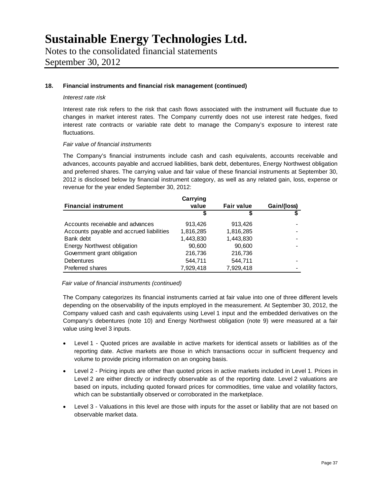Notes to the consolidated financial statements September 30, 2012

#### **18. Financial instruments and financial risk management (continued)**

#### *Interest rate risk*

Interest rate risk refers to the risk that cash flows associated with the instrument will fluctuate due to changes in market interest rates. The Company currently does not use interest rate hedges, fixed interest rate contracts or variable rate debt to manage the Company's exposure to interest rate fluctuations.

#### *Fair value of financial instruments*

The Company's financial instruments include cash and cash equivalents, accounts receivable and advances, accounts payable and accrued liabilities, bank debt, debentures, Energy Northwest obligation and preferred shares. The carrying value and fair value of these financial instruments at September 30, 2012 is disclosed below by financial instrument category, as well as any related gain, loss, expense or revenue for the year ended September 30, 2012:

|                                          | <b>Carrying</b> |                   |             |
|------------------------------------------|-----------------|-------------------|-------------|
| <b>Financial instrument</b>              | value           | <b>Fair value</b> | Gain/(loss) |
|                                          |                 |                   |             |
| Accounts receivable and advances         | 913,426         | 913,426           |             |
| Accounts payable and accrued liabilities | 1,816,285       | 1,816,285         |             |
| Bank debt                                | 1,443,830       | 1,443,830         |             |
| Energy Northwest obligation              | 90,600          | 90.600            |             |
| Government grant obligation              | 216,736         | 216,736           |             |
| <b>Debentures</b>                        | 544.711         | 544.711           |             |
| <b>Preferred shares</b>                  | 7,929,418       | 7,929,418         |             |

#### *Fair value of financial instruments (continued)*

The Company categorizes its financial instruments carried at fair value into one of three different levels depending on the observability of the inputs employed in the measurement. At September 30, 2012, the Company valued cash and cash equivalents using Level 1 input and the embedded derivatives on the Company's debentures (note 10) and Energy Northwest obligation (note 9) were measured at a fair value using level 3 inputs.

- Level 1 Quoted prices are available in active markets for identical assets or liabilities as of the reporting date. Active markets are those in which transactions occur in sufficient frequency and volume to provide pricing information on an ongoing basis.
- Level 2 Pricing inputs are other than quoted prices in active markets included in Level 1. Prices in Level 2 are either directly or indirectly observable as of the reporting date. Level 2 valuations are based on inputs, including quoted forward prices for commodities, time value and volatility factors, which can be substantially observed or corroborated in the marketplace.
- Level 3 Valuations in this level are those with inputs for the asset or liability that are not based on observable market data.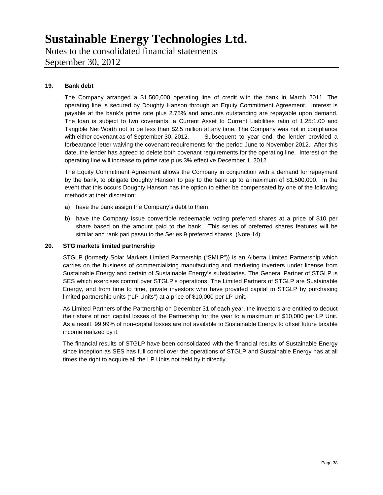Notes to the consolidated financial statements September 30, 2012

#### **19**. **Bank debt**

 The Company arranged a \$1,500,000 operating line of credit with the bank in March 2011. The operating line is secured by Doughty Hanson through an Equity Commitment Agreement. Interest is payable at the bank's prime rate plus 2.75% and amounts outstanding are repayable upon demand. The loan is subject to two covenants, a Current Asset to Current Liabilities ratio of 1.25:1.00 and Tangible Net Worth not to be less than \$2.5 million at any time. The Company was not in compliance with either covenant as of September 30, 2012. Subsequent to year end, the lender provided a forbearance letter waiving the covenant requirements for the period June to November 2012. After this date, the lender has agreed to delete both covenant requirements for the operating line. Interest on the operating line will increase to prime rate plus 3% effective December 1, 2012.

The Equity Commitment Agreement allows the Company in conjunction with a demand for repayment by the bank, to obligate Doughty Hanson to pay to the bank up to a maximum of \$1,500,000. In the event that this occurs Doughty Hanson has the option to either be compensated by one of the following methods at their discretion:

- a) have the bank assign the Company's debt to them
- b) have the Company issue convertible redeemable voting preferred shares at a price of \$10 per share based on the amount paid to the bank. This series of preferred shares features will be similar and rank pari passu to the Series 9 preferred shares. (Note 14)

#### **20. STG markets limited partnership**

STGLP (formerly Solar Markets Limited Partnership ("SMLP")) is an Alberta Limited Partnership which carries on the business of commercializing manufacturing and marketing inverters under license from Sustainable Energy and certain of Sustainable Energy's subsidiaries. The General Partner of STGLP is SES which exercises control over STGLP's operations. The Limited Partners of STGLP are Sustainable Energy, and from time to time, private investors who have provided capital to STGLP by purchasing limited partnership units ("LP Units") at a price of \$10,000 per LP Unit.

As Limited Partners of the Partnership on December 31 of each year, the investors are entitled to deduct their share of non capital losses of the Partnership for the year to a maximum of \$10,000 per LP Unit. As a result, 99.99% of non-capital losses are not available to Sustainable Energy to offset future taxable income realized by it.

The financial results of STGLP have been consolidated with the financial results of Sustainable Energy since inception as SES has full control over the operations of STGLP and Sustainable Energy has at all times the right to acquire all the LP Units not held by it directly.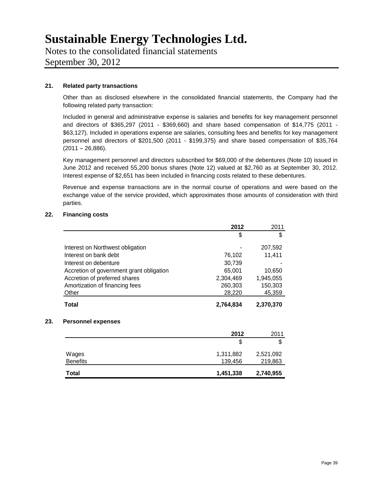Notes to the consolidated financial statements September 30, 2012

#### **21. Related party transactions**

Other than as disclosed elsewhere in the consolidated financial statements, the Company had the following related party transaction:

Included in general and administrative expense is salaries and benefits for key management personnel and directors of \$365,297 (2011 - \$369,660) and share based compensation of \$14,775 (2011 - \$63,127). Included in operations expense are salaries, consulting fees and benefits for key management personnel and directors of \$201,500 (2011 - \$199,375) and share based compensation of \$35,764  $(2011 - 26,886)$ .

Key management personnel and directors subscribed for \$69,000 of the debentures (Note 10) issued in June 2012 and received 55,200 bonus shares (Note 12) valued at \$2,760 as at September 30, 2012. Interest expense of \$2,651 has been included in financing costs related to these debentures.

Revenue and expense transactions are in the normal course of operations and were based on the exchange value of the service provided, which approximates those amounts of consideration with third parties.

#### **22. Financing costs**

|                                          | 2012      | 2011      |
|------------------------------------------|-----------|-----------|
|                                          | \$        | \$        |
| Interest on Northwest obligation         |           | 207,592   |
| Interest on bank debt                    | 76,102    | 11,411    |
| Interest on debenture                    | 30,739    |           |
| Accretion of government grant obligation | 65,001    | 10,650    |
| Accretion of preferred shares            | 2,304,469 | 1,945,055 |
| Amortization of financing fees           | 260,303   | 150,303   |
| Other                                    | 28,220    | 45,359    |
| <b>Total</b>                             | 2,764,834 | 2,370,370 |

#### **23. Personnel expenses**

|                 | 2012      | 2011      |
|-----------------|-----------|-----------|
|                 |           | \$        |
| Wages           | 1,311,882 | 2,521,092 |
| <b>Benefits</b> | 139,456   | 219,863   |
| <b>Total</b>    | 1,451,338 | 2,740,955 |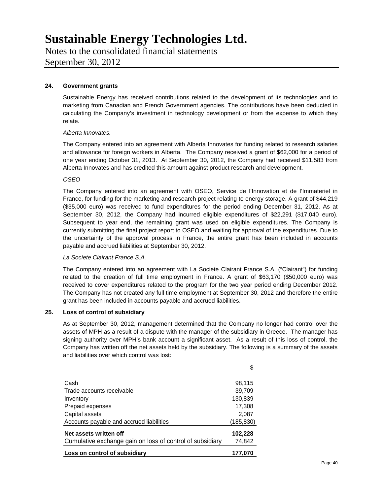Notes to the consolidated financial statements September 30, 2012

#### **24. Government grants**

Sustainable Energy has received contributions related to the development of its technologies and to marketing from Canadian and French Government agencies. The contributions have been deducted in calculating the Company's investment in technology development or from the expense to which they relate.

#### *Alberta Innovates.*

The Company entered into an agreement with Alberta Innovates for funding related to research salaries and allowance for foreign workers in Alberta. The Company received a grant of \$62,000 for a period of one year ending October 31, 2013. At September 30, 2012, the Company had received \$11,583 from Alberta Innovates and has credited this amount against product research and development.

#### *OSEO*

The Company entered into an agreement with OSEO, Service de l'Innovation et de l'Immateriel in France, for funding for the marketing and research project relating to energy storage. A grant of \$44,219 (\$35,000 euro) was received to fund expenditures for the period ending December 31, 2012. As at September 30, 2012, the Company had incurred eligible expenditures of \$22,291 (\$17,040 euro). Subsequent to year end, the remaining grant was used on eligible expenditures. The Company is currently submitting the final project report to OSEO and waiting for approval of the expenditures. Due to the uncertainty of the approval process in France, the entire grant has been included in accounts payable and accrued liabilities at September 30, 2012.

#### *La Societe Clairant France S.A.*

The Company entered into an agreement with La Societe Clairant France S.A. ("Clairant") for funding related to the creation of full time employment in France. A grant of \$63,170 (\$50,000 euro) was received to cover expenditures related to the program for the two year period ending December 2012. The Company has not created any full time employment at September 30, 2012 and therefore the entire grant has been included in accounts payable and accrued liabilities.

#### **25. Loss of control of subsidiary**

 As at September 30, 2012, management determined that the Company no longer had control over the assets of MPH as a result of a dispute with the manager of the subsidiary in Greece. The manager has signing authority over MPH's bank account a significant asset. As a result of this loss of control, the Company has written off the net assets held by the subsidiary. The following is a summary of the assets and liabilities over which control was lost:

\$

|                                                           | ູ          |
|-----------------------------------------------------------|------------|
| Cash                                                      | 98,115     |
| Trade accounts receivable                                 | 39,709     |
| Inventory                                                 | 130,839    |
| Prepaid expenses                                          | 17,308     |
| Capital assets                                            | 2,087      |
| Accounts payable and accrued liabilities                  | (185, 830) |
| Net assets written off                                    | 102,228    |
| Cumulative exchange gain on loss of control of subsidiary | 74,842     |
| Loss on control of subsidiary                             | 177,070    |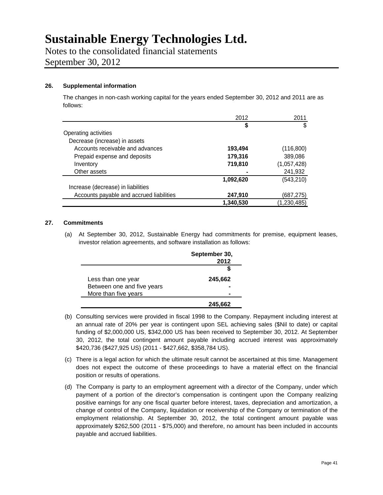Notes to the consolidated financial statements September 30, 2012

#### **26. Supplemental information**

The changes in non-cash working capital for the years ended September 30, 2012 and 2011 are as follows:

|                                          | 2012      | 2011        |
|------------------------------------------|-----------|-------------|
|                                          | \$        | S           |
| Operating activities                     |           |             |
| Decrease (increase) in assets            |           |             |
| Accounts receivable and advances         | 193,494   | (116,800)   |
| Prepaid expense and deposits             | 179,316   | 389,086     |
| Inventory                                | 719,810   | (1,057,428) |
| Other assets                             |           | 241,932     |
|                                          | 1,092,620 | (543, 210)  |
| Increase (decrease) in liabilities       |           |             |
| Accounts payable and accrued liabilities | 247,910   | (687,275)   |
|                                          | 1,340,530 | (1,230,485) |

#### **27. Commitments**

(a) At September 30, 2012, Sustainable Energy had commitments for premise, equipment leases, investor relation agreements, and software installation as follows:

|                            | September 30, |
|----------------------------|---------------|
|                            | 2012          |
|                            |               |
| Less than one year         | 245,662       |
| Between one and five years |               |
| More than five years       |               |
|                            | 245.662       |

- (b) Consulting services were provided in fiscal 1998 to the Company. Repayment including interest at an annual rate of 20% per year is contingent upon SEL achieving sales (\$Nil to date) or capital funding of \$2,000,000 US, \$342,000 US has been received to September 30, 2012. At September 30, 2012, the total contingent amount payable including accrued interest was approximately \$420,736 (\$427,925 US) (2011 - \$427,662, \$358,784 US).
- (c) There is a legal action for which the ultimate result cannot be ascertained at this time. Management does not expect the outcome of these proceedings to have a material effect on the financial position or results of operations.
- (d) The Company is party to an employment agreement with a director of the Company, under which payment of a portion of the director's compensation is contingent upon the Company realizing positive earnings for any one fiscal quarter before interest, taxes, depreciation and amortization, a change of control of the Company, liquidation or receivership of the Company or termination of the employment relationship. At September 30, 2012, the total contingent amount payable was approximately \$262,500 (2011 - \$75,000) and therefore, no amount has been included in accounts payable and accrued liabilities.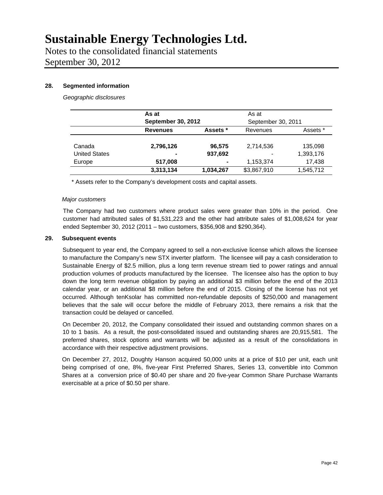Notes to the consolidated financial statements September 30, 2012

#### **28. Segmented information**

*Geographic disclosures* 

|                      | As at           |                                                 | As at       |           |
|----------------------|-----------------|-------------------------------------------------|-------------|-----------|
|                      |                 | <b>September 30, 2012</b><br>September 30, 2011 |             |           |
|                      | <b>Revenues</b> | Assets *                                        | Assets *    |           |
|                      |                 |                                                 |             |           |
| Canada               | 2,796,126       | 96,575                                          | 2,714,536   | 135,098   |
| <b>United States</b> | ۰               | 937,692                                         |             | 1,393,176 |
| Europe               | 517,008         |                                                 | 1,153,374   | 17,438    |
|                      | 3,313,134       | 1,034,267                                       | \$3,867,910 | 1,545,712 |

\* Assets refer to the Company's development costs and capital assets.

#### *Major customers*

The Company had two customers where product sales were greater than 10% in the period. One customer had attributed sales of \$1,531,223 and the other had attribute sales of \$1,008,624 for year ended September 30, 2012 (2011 – two customers, \$356,908 and \$290,364).

#### **29. Subsequent events**

Subsequent to year end, the Company agreed to sell a non-exclusive license which allows the licensee to manufacture the Company's new STX inverter platform. The licensee will pay a cash consideration to Sustainable Energy of \$2.5 million, plus a long term revenue stream tied to power ratings and annual production volumes of products manufactured by the licensee. The licensee also has the option to buy down the long term revenue obligation by paying an additional \$3 million before the end of the 2013 calendar year, or an additional \$8 million before the end of 2015. Closing of the license has not yet occurred. Although tenKsolar has committed non-refundable deposits of \$250,000 and management believes that the sale will occur before the middle of February 2013, there remains a risk that the transaction could be delayed or cancelled.

On December 20, 2012, the Company consolidated their issued and outstanding common shares on a 10 to 1 basis. As a result, the post-consolidated issued and outstanding shares are 20,915,581. The preferred shares, stock options and warrants will be adjusted as a result of the consolidations in accordance with their respective adjustment provisions.

On December 27, 2012, Doughty Hanson acquired 50,000 units at a price of \$10 per unit, each unit being comprised of one, 8%, five-year First Preferred Shares, Series 13, convertible into Common Shares at a conversion price of \$0.40 per share and 20 five-year Common Share Purchase Warrants exercisable at a price of \$0.50 per share.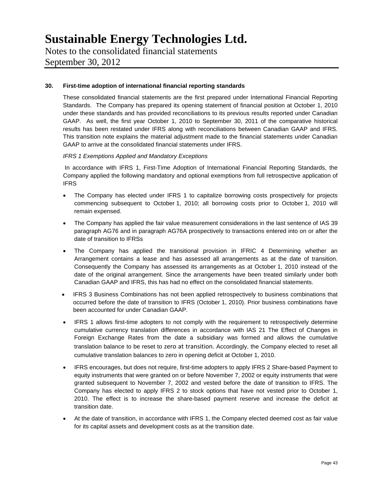Notes to the consolidated financial statements September 30, 2012

#### **30. First-time adoption of international financial reporting standards**

These consolidated financial statements are the first prepared under International Financial Reporting Standards. The Company has prepared its opening statement of financial position at October 1, 2010 under these standards and has provided reconciliations to its previous results reported under Canadian GAAP. As well, the first year October 1, 2010 to September 30, 2011 of the comparative historical results has been restated under IFRS along with reconciliations between Canadian GAAP and IFRS. This transition note explains the material adjustment made to the financial statements under Canadian GAAP to arrive at the consolidated financial statements under IFRS.

#### *IFRS 1 Exemptions Applied and Mandatory Exceptions*

 In accordance with IFRS 1, First-Time Adoption of International Financial Reporting Standards, the Company applied the following mandatory and optional exemptions from full retrospective application of IFRS

- The Company has elected under IFRS 1 to capitalize borrowing costs prospectively for projects commencing subsequent to October 1, 2010; all borrowing costs prior to October 1, 2010 will remain expensed.
- The Company has applied the fair value measurement considerations in the last sentence of IAS 39 paragraph AG76 and in paragraph AG76A prospectively to transactions entered into on or after the date of transition to IFRSs
- The Company has applied the transitional provision in IFRIC 4 Determining whether an Arrangement contains a lease and has assessed all arrangements as at the date of transition. Consequently the Company has assessed its arrangements as at October 1, 2010 instead of the date of the original arrangement. Since the arrangements have been treated similarly under both Canadian GAAP and IFRS, this has had no effect on the consolidated financial statements.
- IFRS 3 Business Combinations has not been applied retrospectively to business combinations that occurred before the date of transition to IFRS (October 1, 2010). Prior business combinations have been accounted for under Canadian GAAP.
- IFRS 1 allows first-time adopters to not comply with the requirement to retrospectively determine cumulative currency translation differences in accordance with IAS 21 The Effect of Changes in Foreign Exchange Rates from the date a subsidiary was formed and allows the cumulative translation balance to be reset to zero at transition. Accordingly, the Company elected to reset all cumulative translation balances to zero in opening deficit at October 1, 2010.
- IFRS encourages, but does not require, first-time adopters to apply IFRS 2 Share-based Payment to equity instruments that were granted on or before November 7, 2002 or equity instruments that were granted subsequent to November 7, 2002 and vested before the date of transition to IFRS. The Company has elected to apply IFRS 2 to stock options that have not vested prior to October 1, 2010. The effect is to increase the share-based payment reserve and increase the deficit at transition date.
- At the date of transition, in accordance with IFRS 1, the Company elected deemed cost as fair value for its capital assets and development costs as at the transition date.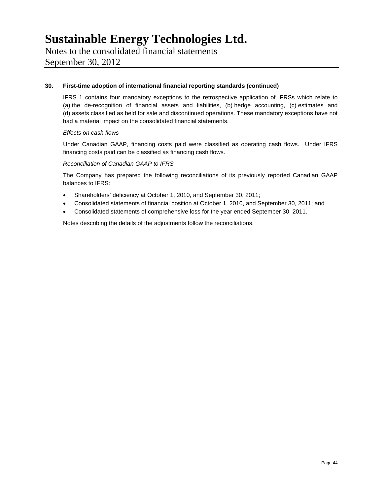Notes to the consolidated financial statements September 30, 2012

#### **30. First-time adoption of international financial reporting standards (continued)**

IFRS 1 contains four mandatory exceptions to the retrospective application of IFRSs which relate to (a) the de-recognition of financial assets and liabilities, (b) hedge accounting, (c) estimates and (d) assets classified as held for sale and discontinued operations. These mandatory exceptions have not had a material impact on the consolidated financial statements.

#### *Effects on cash flows*

Under Canadian GAAP, financing costs paid were classified as operating cash flows. Under IFRS financing costs paid can be classified as financing cash flows.

#### *Reconciliation of Canadian GAAP to IFRS*

The Company has prepared the following reconciliations of its previously reported Canadian GAAP balances to IFRS:

- Shareholders' deficiency at October 1, 2010, and September 30, 2011;
- Consolidated statements of financial position at October 1, 2010, and September 30, 2011; and
- Consolidated statements of comprehensive loss for the year ended September 30, 2011.

Notes describing the details of the adjustments follow the reconciliations.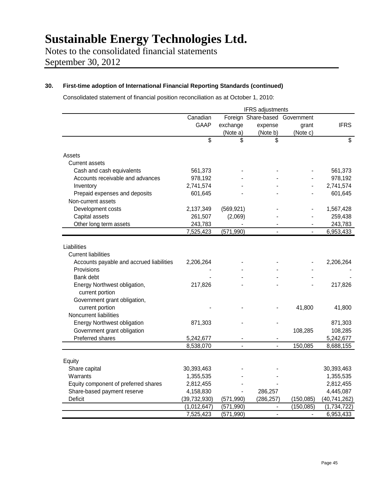Notes to the consolidated financial statements September 30, 2012

#### **30. First-time adoption of International Financial Reporting Standards (continued)**

Consolidated statement of financial position reconciliation as at October 1, 2010:

|                                                 |                         |                | IFRS adjustments |                          |                |
|-------------------------------------------------|-------------------------|----------------|------------------|--------------------------|----------------|
|                                                 | Canadian                |                |                  |                          |                |
|                                                 | GAAP                    | exchange       | expense          | grant                    | <b>IFRS</b>    |
|                                                 |                         | (Note a)       | (Note b)         | (Note c)                 |                |
|                                                 | $\overline{\mathbb{S}}$ | \$             | \$               |                          | \$             |
| Assets                                          |                         |                |                  |                          |                |
| <b>Current assets</b>                           |                         |                |                  |                          |                |
| Cash and cash equivalents                       | 561,373                 |                |                  |                          | 561,373        |
| Accounts receivable and advances                | 978,192                 |                |                  |                          | 978,192        |
| Inventory                                       | 2,741,574               |                |                  |                          | 2,741,574      |
| Prepaid expenses and deposits                   | 601,645                 |                |                  |                          | 601,645        |
| Non-current assets                              |                         |                |                  |                          |                |
| Development costs                               | 2,137,349               | (569, 921)     |                  |                          | 1,567,428      |
| Capital assets                                  | 261,507                 | (2,069)        |                  |                          | 259,438        |
| Other long term assets                          | 243,783                 |                |                  |                          | 243,783        |
|                                                 | 7,525,423               | (571, 990)     |                  |                          | 6,953,433      |
|                                                 |                         |                |                  |                          |                |
| Liabilities                                     |                         |                |                  |                          |                |
| <b>Current liabilities</b>                      |                         |                |                  |                          |                |
| Accounts payable and accrued liabilities        | 2,206,264               |                |                  |                          | 2,206,264      |
| Provisions                                      |                         |                |                  |                          |                |
| Bank debt                                       |                         |                |                  |                          |                |
| Energy Northwest obligation,<br>current portion | 217,826                 |                |                  |                          | 217,826        |
| Government grant obligation,                    |                         |                |                  |                          |                |
| current portion                                 |                         |                |                  | 41,800                   | 41,800         |
| Noncurrent liabilities                          |                         |                |                  |                          |                |
| <b>Energy Northwest obligation</b>              | 871,303                 |                |                  |                          | 871,303        |
| Government grant obligation                     |                         |                |                  | 108,285                  | 108,285        |
| Preferred shares                                | 5,242,677               |                |                  |                          | 5,242,677      |
|                                                 | 8,538,070               | $\overline{a}$ | $\overline{a}$   | 150,085                  | 8,688,155      |
|                                                 |                         |                |                  |                          |                |
| Equity                                          |                         |                |                  |                          |                |
| Share capital                                   | 30,393,463              |                |                  |                          | 30,393,463     |
| Warrants                                        | 1,355,535               |                |                  |                          | 1,355,535      |
| Equity component of preferred shares            | 2,812,455               |                |                  |                          | 2,812,455      |
| Share-based payment reserve                     | 4,158,830               |                | 286,257          |                          | 4,445,087      |
| Deficit                                         | (39, 732, 930)          | (571, 990)     | (286, 257)       | (150, 085)               | (40, 741, 262) |
|                                                 | (1,012,647)             | (571, 990)     |                  | (150, 085)               | (1,734,722)    |
|                                                 | 7,525,423               | (571, 990)     | $\blacksquare$   | $\overline{\phantom{a}}$ | 6,953,433      |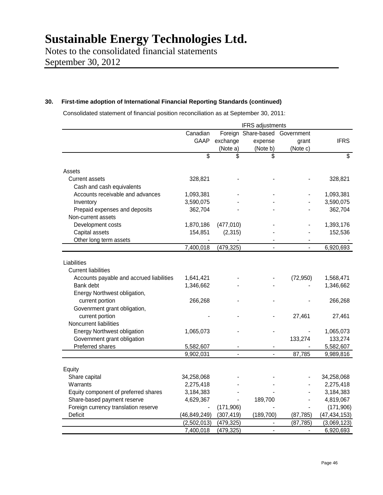Notes to the consolidated financial statements September 30, 2012

#### **30. First-time adoption of International Financial Reporting Standards (continued)**

Consolidated statement of financial position reconciliation as at September 30, 2011:

|                                          | IFRS adjustments |            |                     |                          |                |  |  |
|------------------------------------------|------------------|------------|---------------------|--------------------------|----------------|--|--|
|                                          | Canadian         |            | Foreign Share-based | Government               |                |  |  |
|                                          | GAAP             | exchange   | expense             | grant                    | <b>IFRS</b>    |  |  |
|                                          |                  | (Note a)   | (Note b)            | (Note c)                 |                |  |  |
|                                          | \$               | \$         | \$                  |                          | $\mathbb{S}$   |  |  |
| Assets                                   |                  |            |                     |                          |                |  |  |
| Current assets                           | 328,821          |            |                     |                          | 328,821        |  |  |
| Cash and cash equivalents                |                  |            |                     |                          |                |  |  |
| Accounts receivable and advances         | 1,093,381        |            |                     |                          | 1,093,381      |  |  |
| Inventory                                | 3,590,075        |            |                     |                          | 3,590,075      |  |  |
| Prepaid expenses and deposits            | 362,704          |            |                     |                          | 362,704        |  |  |
| Non-current assets                       |                  |            |                     |                          |                |  |  |
| Development costs                        | 1,870,186        | (477, 010) |                     |                          | 1,393,176      |  |  |
| Capital assets                           | 154,851          | (2,315)    |                     |                          | 152,536        |  |  |
| Other long term assets                   |                  |            |                     |                          |                |  |  |
|                                          | 7,400,018        | (479, 325) |                     |                          | 6,920,693      |  |  |
|                                          |                  |            |                     |                          |                |  |  |
| Liabilities                              |                  |            |                     |                          |                |  |  |
| <b>Current liabilities</b>               |                  |            |                     |                          |                |  |  |
| Accounts payable and accrued liabilities | 1,641,421        |            |                     | (72, 950)                | 1,568,471      |  |  |
| Bank debt                                | 1,346,662        |            |                     |                          | 1,346,662      |  |  |
| Energy Northwest obligation,             |                  |            |                     |                          |                |  |  |
| current portion                          | 266,268          |            |                     |                          | 266,268        |  |  |
| Govenrment grant obligation,             |                  |            |                     |                          |                |  |  |
| current portion                          |                  |            |                     | 27,461                   | 27,461         |  |  |
| Noncurrent liabilities                   |                  |            |                     |                          |                |  |  |
| <b>Energy Northwest obligation</b>       | 1,065,073        |            |                     |                          | 1,065,073      |  |  |
| Government grant obligation              |                  |            |                     | 133,274                  | 133,274        |  |  |
| Preferred shares                         | 5,582,607        |            |                     |                          | 5,582,607      |  |  |
|                                          | 9,902,031        |            |                     | 87,785                   | 9,989,816      |  |  |
|                                          |                  |            |                     |                          |                |  |  |
| Equity                                   |                  |            |                     |                          |                |  |  |
| Share capital                            | 34,258,068       |            |                     |                          | 34,258,068     |  |  |
| Warrants                                 | 2,275,418        |            |                     |                          | 2,275,418      |  |  |
| Equity component of preferred shares     | 3,184,383        |            |                     |                          | 3,184,383      |  |  |
| Share-based payment reserve              | 4,629,367        |            | 189,700             |                          | 4,819,067      |  |  |
| Foreign currency translation reserve     |                  | (171, 906) |                     |                          | (171, 906)     |  |  |
| Deficit                                  | (46, 849, 249)   | (307, 419) | (189, 700)          | (87, 785)                | (47, 434, 153) |  |  |
|                                          | (2,502,013)      | (479, 325) |                     | (87, 785)                | (3,069,123)    |  |  |
|                                          | 7,400,018        | (479, 325) | $\frac{1}{2}$       | $\overline{\phantom{a}}$ | 6,920,693      |  |  |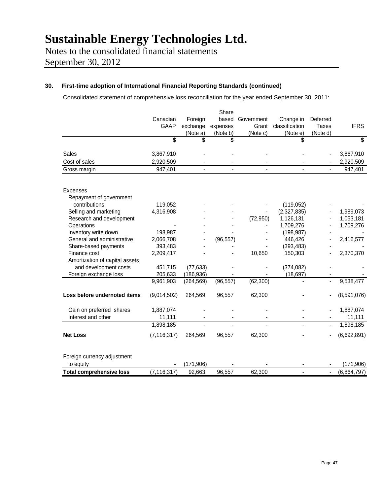Notes to the consolidated financial statements September 30, 2012

#### **30. First-time adoption of International Financial Reporting Standards (continued)**

Consolidated statement of comprehensive loss reconciliation for the year ended September 30, 2011:

|                                 |               |            | Share     |            |                |                |             |
|---------------------------------|---------------|------------|-----------|------------|----------------|----------------|-------------|
|                                 | Canadian      | Foreign    | based     | Government | Change in      | Deferred       |             |
|                                 | <b>GAAP</b>   | exchange   | expenses  | Grant      | classification | <b>Taxes</b>   | <b>IFRS</b> |
|                                 |               | (Note a)   | (Note b)  | (Note c)   | (Note e)       | (Note d)       |             |
|                                 | \$            | \$         | \$        |            | \$             |                | \$          |
| Sales                           | 3,867,910     |            |           |            |                |                | 3,867,910   |
| Cost of sales                   | 2,920,509     |            |           |            |                |                | 2,920,509   |
| Gross margin                    | 947,401       |            |           |            |                |                | 947,401     |
| Expenses                        |               |            |           |            |                |                |             |
| Repayment of government         |               |            |           |            |                |                |             |
| contributions                   | 119,052       |            |           |            | (119, 052)     |                |             |
| Selling and marketing           | 4,316,908     |            |           |            | (2,327,835)    |                | 1,989,073   |
| Research and development        |               |            |           | (72, 950)  | 1,126,131      |                | 1,053,181   |
| Operations                      |               |            |           |            | 1,709,276      |                | 1,709,276   |
| Inventory write down            | 198,987       |            |           |            | (198, 987)     |                |             |
| General and administrative      | 2,066,708     |            | (96, 557) |            | 446,426        |                | 2,416,577   |
| Share-based payments            | 393,483       |            |           |            | (393, 483)     |                |             |
| Finance cost                    | 2,209,417     |            |           | 10,650     | 150,303        |                | 2,370,370   |
| Amortization of capital assets  |               |            |           |            |                |                |             |
| and development costs           | 451,715       | (77, 633)  |           |            | (374, 082)     |                |             |
| Foreign exchange loss           | 205,633       | (186, 936) |           |            | (18, 697)      |                |             |
|                                 | 9,961,903     | (264, 569) | (96, 557) | (62, 300)  |                | $\overline{a}$ | 9,538,477   |
| Loss before undernoted items    | (9,014,502)   | 264,569    | 96,557    | 62,300     |                |                | (8,591,076) |
| Gain on preferred shares        | 1,887,074     |            |           |            |                |                | 1,887,074   |
| Interest and other              | 11,111        |            |           |            |                |                | 11,111      |
|                                 | 1,898,185     |            |           |            |                | $\blacksquare$ | 1,898,185   |
| <b>Net Loss</b>                 | (7, 116, 317) | 264,569    | 96,557    | 62,300     |                |                | (6,692,891) |
| Foreign currency adjustment     |               |            |           |            |                |                |             |
|                                 |               |            |           |            |                |                |             |
| to equity                       |               | (171, 906) |           |            |                |                | (171,906)   |
| <b>Total comprehensive loss</b> | (7, 116, 317) | 92,663     | 96,557    | 62,300     |                | $\blacksquare$ | (6,864,797) |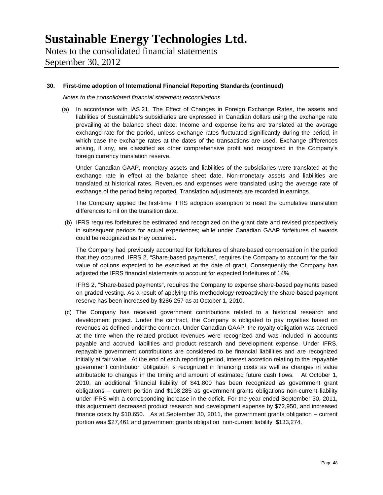Notes to the consolidated financial statements September 30, 2012

#### **30. First-time adoption of International Financial Reporting Standards (continued)**

*Notes to the consolidated financial statement reconciliations* 

(a) In accordance with IAS 21, The Effect of Changes in Foreign Exchange Rates, the assets and liabilities of Sustainable's subsidiaries are expressed in Canadian dollars using the exchange rate prevailing at the balance sheet date. Income and expense items are translated at the average exchange rate for the period, unless exchange rates fluctuated significantly during the period, in which case the exchange rates at the dates of the transactions are used. Exchange differences arising, if any, are classified as other comprehensive profit and recognized in the Company's foreign currency translation reserve.

Under Canadian GAAP, monetary assets and liabilities of the subsidiaries were translated at the exchange rate in effect at the balance sheet date. Non-monetary assets and liabilities are translated at historical rates. Revenues and expenses were translated using the average rate of exchange of the period being reported. Translation adjustments are recorded in earnings.

The Company applied the first-time IFRS adoption exemption to reset the cumulative translation differences to nil on the transition date.

(b) IFRS requires forfeitures be estimated and recognized on the grant date and revised prospectively in subsequent periods for actual experiences; while under Canadian GAAP forfeitures of awards could be recognized as they occurred.

 The Company had previously accounted for forfeitures of share-based compensation in the period that they occurred. IFRS 2, "Share-based payments", requires the Company to account for the fair value of options expected to be exercised at the date of grant. Consequently the Company has adjusted the IFRS financial statements to account for expected forfeitures of 14%.

 IFRS 2, "Share-based payments", requires the Company to expense share-based payments based on graded vesting. As a result of applying this methodology retroactively the share-based payment reserve has been increased by \$286,257 as at October 1, 2010.

(c) The Company has received government contributions related to a historical research and development project. Under the contract, the Company is obligated to pay royalties based on revenues as defined under the contract. Under Canadian GAAP, the royalty obligation was accrued at the time when the related product revenues were recognized and was included in accounts payable and accrued liabilities and product research and development expense. Under IFRS, repayable government contributions are considered to be financial liabilities and are recognized initially at fair value. At the end of each reporting period, interest accretion relating to the repayable government contribution obligation is recognized in financing costs as well as changes in value attributable to changes in the timing and amount of estimated future cash flows.At October 1, 2010, an additional financial liability of \$41,800 has been recognized as government grant obligations – current portion and \$108,285 as government grants obligations non-current liability under IFRS with a corresponding increase in the deficit. For the year ended September 30, 2011, this adjustment decreased product research and development expense by \$72,950, and increased finance costs by \$10,650. As at September 30, 2011, the government grants obligation – current portion was \$27,461 and government grants obligation non-current liability \$133,274.